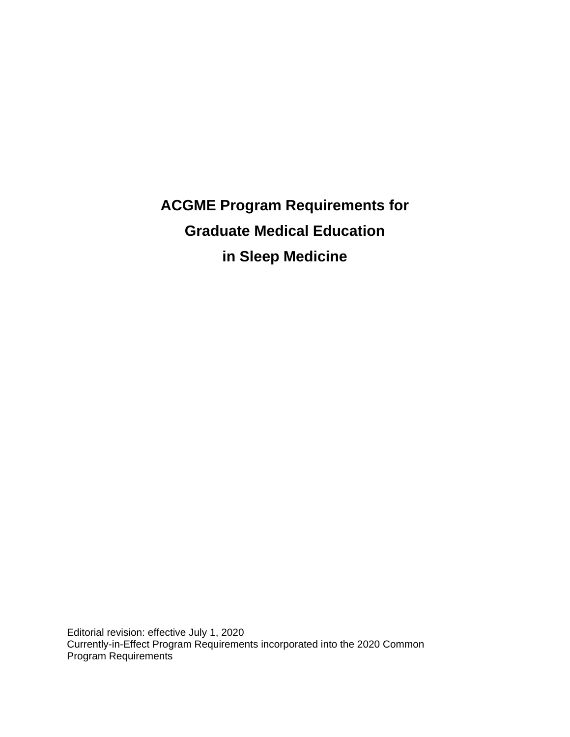**ACGME Program Requirements for Graduate Medical Education in Sleep Medicine**

Editorial revision: effective July 1, 2020 Currently-in-Effect Program Requirements incorporated into the 2020 Common Program Requirements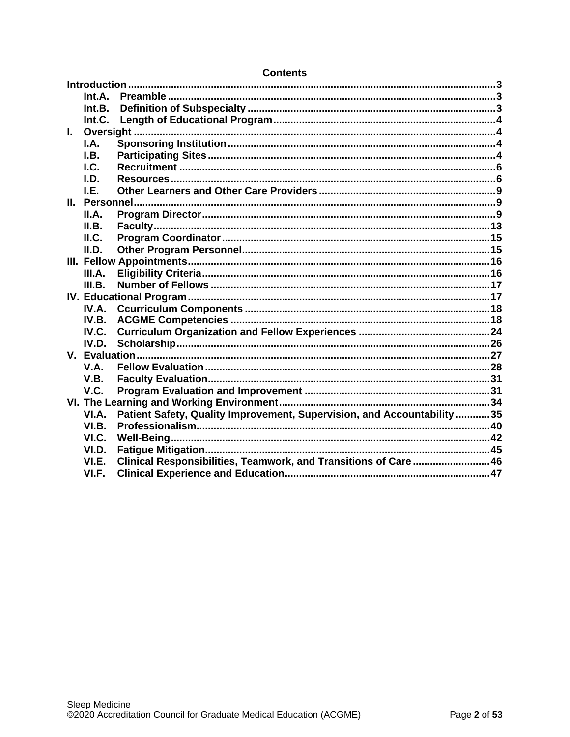|       | Int.A. |                                                                         |  |
|-------|--------|-------------------------------------------------------------------------|--|
|       | Int.B. |                                                                         |  |
|       | Int.C. |                                                                         |  |
| L.    |        |                                                                         |  |
|       | I.A.   |                                                                         |  |
|       | I.B.   |                                                                         |  |
|       | $L$    |                                                                         |  |
|       | I.D.   |                                                                         |  |
|       | LE.    |                                                                         |  |
|       |        |                                                                         |  |
|       | II.A.  |                                                                         |  |
|       | II.B.  |                                                                         |  |
|       | ILC.   |                                                                         |  |
|       | II.D.  |                                                                         |  |
|       |        |                                                                         |  |
|       | III.A. |                                                                         |  |
|       | III.B. |                                                                         |  |
|       |        |                                                                         |  |
|       | IV.A.  |                                                                         |  |
|       | IV.B.  |                                                                         |  |
|       | IV.C.  |                                                                         |  |
|       | IV.D.  |                                                                         |  |
|       |        |                                                                         |  |
|       | V.A.   |                                                                         |  |
|       | V.B.   |                                                                         |  |
|       | V.C.   |                                                                         |  |
|       |        |                                                                         |  |
|       | VI.A.  | Patient Safety, Quality Improvement, Supervision, and Accountability 35 |  |
|       | VI.B.  |                                                                         |  |
| VI.C. |        |                                                                         |  |
|       | VI.D.  |                                                                         |  |
|       | VI.E.  | Clinical Responsibilities, Teamwork, and Transitions of Care46          |  |
|       | VI.F.  |                                                                         |  |

### **Contents**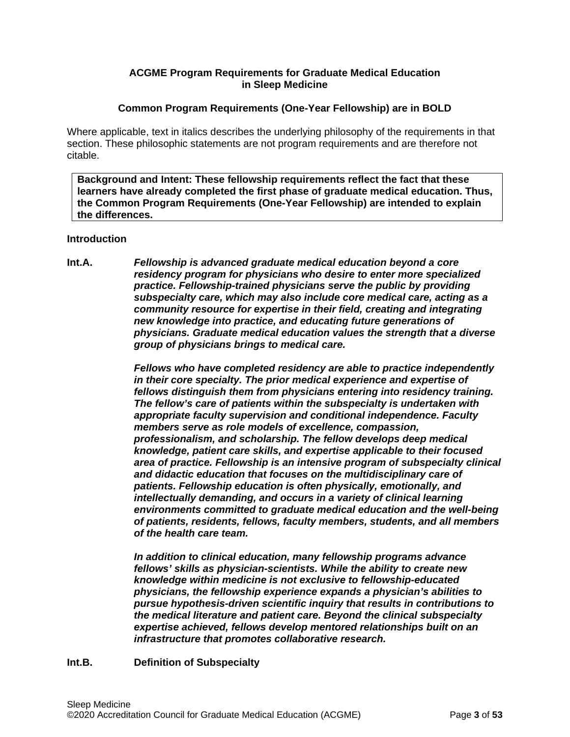## **ACGME Program Requirements for Graduate Medical Education in Sleep Medicine**

## **Common Program Requirements (One-Year Fellowship) are in BOLD**

Where applicable, text in italics describes the underlying philosophy of the requirements in that section. These philosophic statements are not program requirements and are therefore not citable.

**Background and Intent: These fellowship requirements reflect the fact that these learners have already completed the first phase of graduate medical education. Thus, the Common Program Requirements (One-Year Fellowship) are intended to explain the differences.**

#### <span id="page-2-0"></span>**Introduction**

<span id="page-2-1"></span>**Int.A.** *Fellowship is advanced graduate medical education beyond a core residency program for physicians who desire to enter more specialized practice. Fellowship-trained physicians serve the public by providing subspecialty care, which may also include core medical care, acting as a community resource for expertise in their field, creating and integrating new knowledge into practice, and educating future generations of physicians. Graduate medical education values the strength that a diverse group of physicians brings to medical care.*

> *Fellows who have completed residency are able to practice independently in their core specialty. The prior medical experience and expertise of fellows distinguish them from physicians entering into residency training. The fellow's care of patients within the subspecialty is undertaken with appropriate faculty supervision and conditional independence. Faculty members serve as role models of excellence, compassion, professionalism, and scholarship. The fellow develops deep medical knowledge, patient care skills, and expertise applicable to their focused area of practice. Fellowship is an intensive program of subspecialty clinical and didactic education that focuses on the multidisciplinary care of patients. Fellowship education is often physically, emotionally, and intellectually demanding, and occurs in a variety of clinical learning environments committed to graduate medical education and the well-being of patients, residents, fellows, faculty members, students, and all members of the health care team.*

*In addition to clinical education, many fellowship programs advance fellows' skills as physician-scientists. While the ability to create new knowledge within medicine is not exclusive to fellowship-educated physicians, the fellowship experience expands a physician's abilities to pursue hypothesis-driven scientific inquiry that results in contributions to the medical literature and patient care. Beyond the clinical subspecialty expertise achieved, fellows develop mentored relationships built on an infrastructure that promotes collaborative research.*

## <span id="page-2-2"></span>**Int.B. Definition of Subspecialty**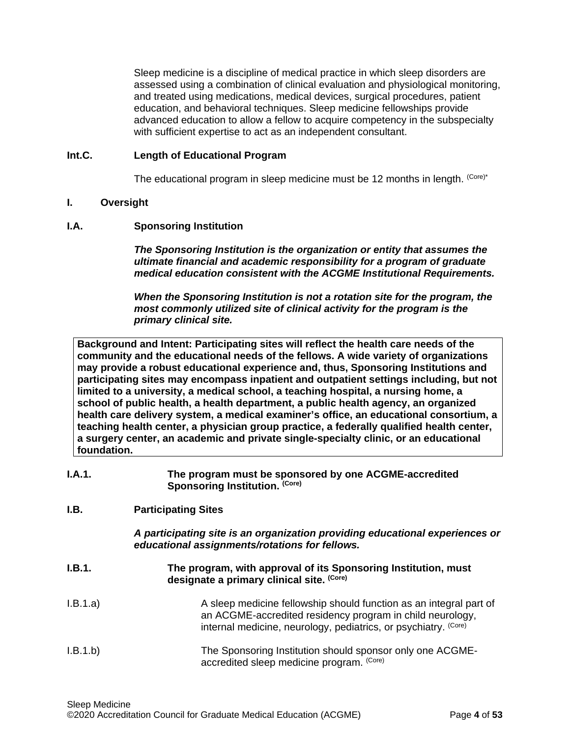Sleep medicine is a discipline of medical practice in which sleep disorders are assessed using a combination of clinical evaluation and physiological monitoring, and treated using medications, medical devices, surgical procedures, patient education, and behavioral techniques. Sleep medicine fellowships provide advanced education to allow a fellow to acquire competency in the subspecialty with sufficient expertise to act as an independent consultant.

### <span id="page-3-0"></span>**Int.C. Length of Educational Program**

The educational program in sleep medicine must be 12 months in length. (Core)\*

### <span id="page-3-1"></span>**I. Oversight**

### <span id="page-3-2"></span>**I.A. Sponsoring Institution**

*The Sponsoring Institution is the organization or entity that assumes the ultimate financial and academic responsibility for a program of graduate medical education consistent with the ACGME Institutional Requirements.*

*When the Sponsoring Institution is not a rotation site for the program, the most commonly utilized site of clinical activity for the program is the primary clinical site.*

**Background and Intent: Participating sites will reflect the health care needs of the community and the educational needs of the fellows. A wide variety of organizations may provide a robust educational experience and, thus, Sponsoring Institutions and participating sites may encompass inpatient and outpatient settings including, but not limited to a university, a medical school, a teaching hospital, a nursing home, a school of public health, a health department, a public health agency, an organized health care delivery system, a medical examiner's office, an educational consortium, a teaching health center, a physician group practice, a federally qualified health center, a surgery center, an academic and private single-specialty clinic, or an educational foundation.**

| I.A.1. | The program must be sponsored by one ACGME-accredited |
|--------|-------------------------------------------------------|
|        | Sponsoring Institution. (Core)                        |

## <span id="page-3-3"></span>**I.B. Participating Sites**

*A participating site is an organization providing educational experiences or educational assignments/rotations for fellows.*

- **I.B.1. The program, with approval of its Sponsoring Institution, must designate a primary clinical site. (Core)**
- I.B.1.a) A sleep medicine fellowship should function as an integral part of an ACGME-accredited residency program in child neurology, internal medicine, neurology, pediatrics, or psychiatry. (Core)
- I.B.1.b) The Sponsoring Institution should sponsor only one ACGMEaccredited sleep medicine program. (Core)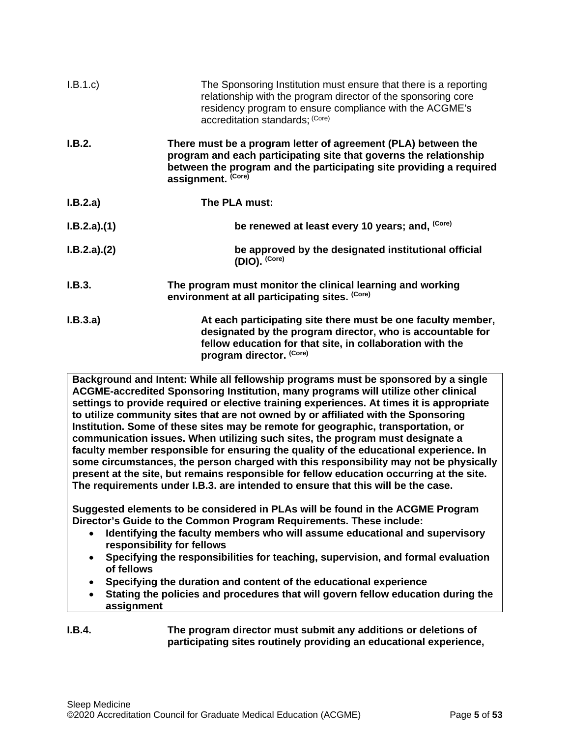| I.B.1.c     | The Sponsoring Institution must ensure that there is a reporting<br>relationship with the program director of the sponsoring core<br>residency program to ensure compliance with the ACGME's<br>accreditation standards; (Core) |
|-------------|---------------------------------------------------------------------------------------------------------------------------------------------------------------------------------------------------------------------------------|
| I.B.2.      | There must be a program letter of agreement (PLA) between the<br>program and each participating site that governs the relationship<br>between the program and the participating site providing a required<br>assignment. (Core) |
| I.B.2.a)    | The PLA must:                                                                                                                                                                                                                   |
| I.B.2.a)(1) | be renewed at least every 10 years; and, (Core)                                                                                                                                                                                 |
| I.B.2.a)(2) | be approved by the designated institutional official<br>(DIO). (Core)                                                                                                                                                           |
| I.B.3.      | The program must monitor the clinical learning and working<br>environment at all participating sites. (Core)                                                                                                                    |
| I.B.3.a)    | At each participating site there must be one faculty member,<br>designated by the program director, who is accountable for<br>fellow education for that site, in collaboration with the<br>program director. (Core)             |

**Background and Intent: While all fellowship programs must be sponsored by a single ACGME-accredited Sponsoring Institution, many programs will utilize other clinical settings to provide required or elective training experiences. At times it is appropriate to utilize community sites that are not owned by or affiliated with the Sponsoring Institution. Some of these sites may be remote for geographic, transportation, or communication issues. When utilizing such sites, the program must designate a faculty member responsible for ensuring the quality of the educational experience. In some circumstances, the person charged with this responsibility may not be physically present at the site, but remains responsible for fellow education occurring at the site. The requirements under I.B.3. are intended to ensure that this will be the case.**

**Suggested elements to be considered in PLAs will be found in the ACGME Program Director's Guide to the Common Program Requirements. These include:**

- **Identifying the faculty members who will assume educational and supervisory responsibility for fellows**
- **Specifying the responsibilities for teaching, supervision, and formal evaluation of fellows**
- **Specifying the duration and content of the educational experience**
- **Stating the policies and procedures that will govern fellow education during the assignment**

## **I.B.4. The program director must submit any additions or deletions of participating sites routinely providing an educational experience,**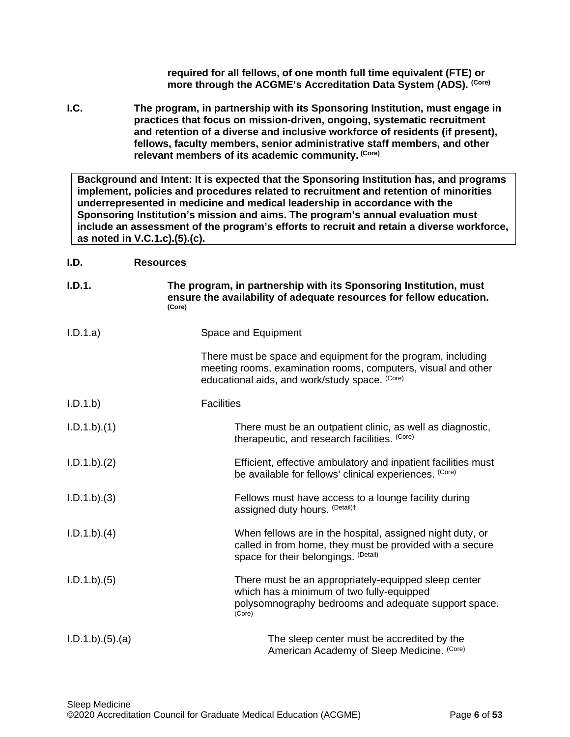**required for all fellows, of one month full time equivalent (FTE) or more through the ACGME's Accreditation Data System (ADS). (Core)**

<span id="page-5-0"></span>**I.C. The program, in partnership with its Sponsoring Institution, must engage in practices that focus on mission-driven, ongoing, systematic recruitment and retention of a diverse and inclusive workforce of residents (if present), fellows, faculty members, senior administrative staff members, and other relevant members of its academic community. (Core)**

**Background and Intent: It is expected that the Sponsoring Institution has, and programs implement, policies and procedures related to recruitment and retention of minorities underrepresented in medicine and medical leadership in accordance with the Sponsoring Institution's mission and aims. The program's annual evaluation must include an assessment of the program's efforts to recruit and retain a diverse workforce, as noted in V.C.1.c).(5).(c).**

## <span id="page-5-1"></span>**I.D. Resources**

| I.D.1.          | The program, in partnership with its Sponsoring Institution, must<br>ensure the availability of adequate resources for fellow education.<br>(Core)                              |
|-----------------|---------------------------------------------------------------------------------------------------------------------------------------------------------------------------------|
| I.D.1.a)        | Space and Equipment                                                                                                                                                             |
|                 | There must be space and equipment for the program, including<br>meeting rooms, examination rooms, computers, visual and other<br>educational aids, and work/study space. (Core) |
| I.D.1.b         | <b>Facilities</b>                                                                                                                                                               |
| I.D.1.b)(1)     | There must be an outpatient clinic, as well as diagnostic,<br>therapeutic, and research facilities. (Core)                                                                      |
| I.D.1.b).(2)    | Efficient, effective ambulatory and inpatient facilities must<br>be available for fellows' clinical experiences. (Core)                                                         |
| $I.D.1.b).$ (3) | Fellows must have access to a lounge facility during<br>assigned duty hours. (Detail)t                                                                                          |
| I.D.1.b)(4)     | When fellows are in the hospital, assigned night duty, or<br>called in from home, they must be provided with a secure<br>space for their belongings. (Detail)                   |
| I.D.1.b).(5)    | There must be an appropriately-equipped sleep center<br>which has a minimum of two fully-equipped<br>polysomnography bedrooms and adequate support space.<br>(Core)             |
| I.D.1.b)(5).(a) | The sleep center must be accredited by the<br>American Academy of Sleep Medicine. (Core)                                                                                        |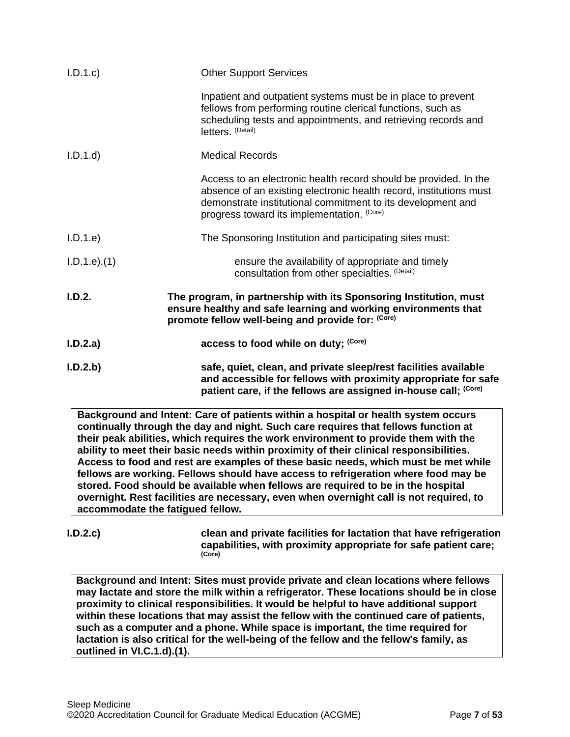| I.D.1.c         | <b>Other Support Services</b>                                                                                                                                                                                                                       |
|-----------------|-----------------------------------------------------------------------------------------------------------------------------------------------------------------------------------------------------------------------------------------------------|
|                 | Inpatient and outpatient systems must be in place to prevent<br>fellows from performing routine clerical functions, such as<br>scheduling tests and appointments, and retrieving records and<br>letters. (Detail)                                   |
| I.D.1.d         | <b>Medical Records</b>                                                                                                                                                                                                                              |
|                 | Access to an electronic health record should be provided. In the<br>absence of an existing electronic health record, institutions must<br>demonstrate institutional commitment to its development and<br>progress toward its implementation. (Core) |
| I.D.1.e         | The Sponsoring Institution and participating sites must:                                                                                                                                                                                            |
| $I.D.1.e$ $(1)$ | ensure the availability of appropriate and timely<br>consultation from other specialties. (Detail)                                                                                                                                                  |
| I.D.2.          | The program, in partnership with its Sponsoring Institution, must<br>ensure healthy and safe learning and working environments that<br>promote fellow well-being and provide for: (Core)                                                            |
| I.D.2.a)        | access to food while on duty; (Core)                                                                                                                                                                                                                |
| I.D.2.b         | safe, quiet, clean, and private sleep/rest facilities available<br>and accessible for fellows with proximity appropriate for safe<br>patient care, if the fellows are assigned in-house call; (Core)                                                |
|                 | Background and Intent: Care of patients within a hospital or health system occurs<br>continually through the day and night. Such care requires that fellows function at                                                                             |

**continually through the day and night. Such care requires that fellows function at their peak abilities, which requires the work environment to provide them with the ability to meet their basic needs within proximity of their clinical responsibilities. Access to food and rest are examples of these basic needs, which must be met while fellows are working. Fellows should have access to refrigeration where food may be stored. Food should be available when fellows are required to be in the hospital overnight. Rest facilities are necessary, even when overnight call is not required, to accommodate the fatigued fellow.**

**I.D.2.c) clean and private facilities for lactation that have refrigeration capabilities, with proximity appropriate for safe patient care; (Core)**

**Background and Intent: Sites must provide private and clean locations where fellows may lactate and store the milk within a refrigerator. These locations should be in close proximity to clinical responsibilities. It would be helpful to have additional support within these locations that may assist the fellow with the continued care of patients, such as a computer and a phone. While space is important, the time required for lactation is also critical for the well-being of the fellow and the fellow's family, as outlined in VI.C.1.d).(1).**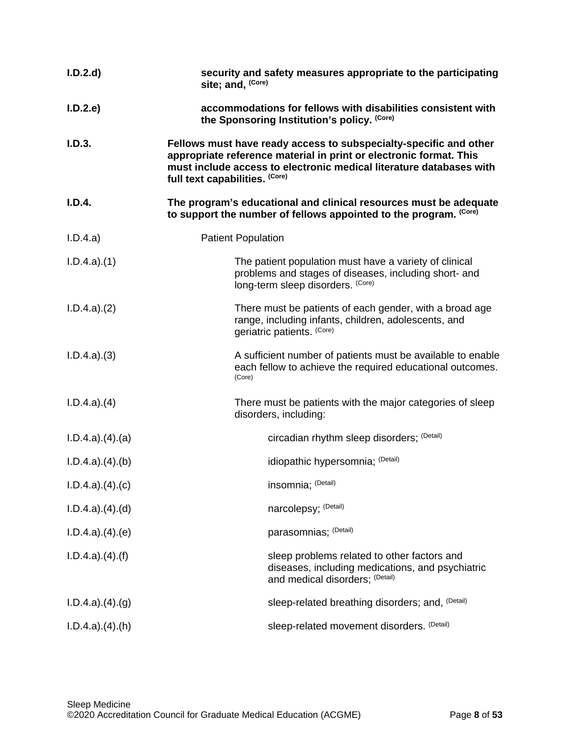| I.D.2.d                   | security and safety measures appropriate to the participating<br>site; and, (Core)                                                                                                                                                               |
|---------------------------|--------------------------------------------------------------------------------------------------------------------------------------------------------------------------------------------------------------------------------------------------|
| I.D.2.e                   | accommodations for fellows with disabilities consistent with<br>the Sponsoring Institution's policy. (Core)                                                                                                                                      |
| I.D.3.                    | Fellows must have ready access to subspecialty-specific and other<br>appropriate reference material in print or electronic format. This<br>must include access to electronic medical literature databases with<br>full text capabilities. (Core) |
| I.D.4.                    | The program's educational and clinical resources must be adequate<br>to support the number of fellows appointed to the program. (Core)                                                                                                           |
| I.D.4.a)                  | <b>Patient Population</b>                                                                                                                                                                                                                        |
| I.D.4.a)(1)               | The patient population must have a variety of clinical<br>problems and stages of diseases, including short- and<br>long-term sleep disorders. (Core)                                                                                             |
| I.D.4.a)(2)               | There must be patients of each gender, with a broad age<br>range, including infants, children, adolescents, and<br>geriatric patients. (Core)                                                                                                    |
| I.D.4.a)(3)               | A sufficient number of patients must be available to enable<br>each fellow to achieve the required educational outcomes.<br>(Core)                                                                                                               |
| I.D.4.a)(4)               | There must be patients with the major categories of sleep<br>disorders, including:                                                                                                                                                               |
| I.D.4.a)(4).(a)           | circadian rhythm sleep disorders; (Detail)                                                                                                                                                                                                       |
| $I.D.4.a$ $.(4)(b)$       | idiopathic hypersomnia; (Detail)                                                                                                                                                                                                                 |
| $I.D.4.a$ $.(4).(c)$      | insomnia; (Detail)                                                                                                                                                                                                                               |
| $I.D.4.a$ $.(4).(d)$      | narcolepsy; (Detail)                                                                                                                                                                                                                             |
| I.D.4.a)(4).(e)           | parasomnias; (Detail)                                                                                                                                                                                                                            |
| $I.D.4.a$ $.(4).(f)$      | sleep problems related to other factors and<br>diseases, including medications, and psychiatric<br>and medical disorders; (Detail)                                                                                                               |
| $I.D.4.a$ $.(4).(g)$      | sleep-related breathing disorders; and, (Detail)                                                                                                                                                                                                 |
| $I.D.4.a$ . $(4)$ . $(h)$ | sleep-related movement disorders. (Detail)                                                                                                                                                                                                       |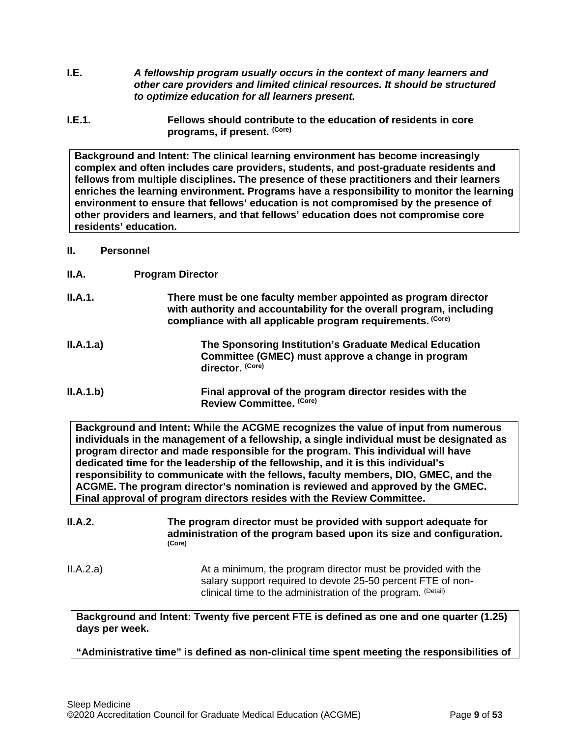- <span id="page-8-0"></span>**I.E.** *A fellowship program usually occurs in the context of many learners and other care providers and limited clinical resources. It should be structured to optimize education for all learners present.*
- **I.E.1. Fellows should contribute to the education of residents in core programs, if present. (Core)**

**Background and Intent: The clinical learning environment has become increasingly complex and often includes care providers, students, and post-graduate residents and fellows from multiple disciplines. The presence of these practitioners and their learners enriches the learning environment. Programs have a responsibility to monitor the learning environment to ensure that fellows' education is not compromised by the presence of other providers and learners, and that fellows' education does not compromise core residents' education.**

#### <span id="page-8-1"></span>**II. Personnel**

<span id="page-8-2"></span>**II.A. Program Director**

| II.A.1.   | There must be one faculty member appointed as program director<br>with authority and accountability for the overall program, including<br>compliance with all applicable program requirements. (Core) |
|-----------|-------------------------------------------------------------------------------------------------------------------------------------------------------------------------------------------------------|
| II.A.1.a) | The Sponsoring Institution's Graduate Medical Education<br>Committee (GMEC) must approve a change in program<br>director. (Core)                                                                      |
| II.A.1.b) | Final approval of the program director resides with the<br>Review Committee. (Core)                                                                                                                   |

**Background and Intent: While the ACGME recognizes the value of input from numerous individuals in the management of a fellowship, a single individual must be designated as program director and made responsible for the program. This individual will have dedicated time for the leadership of the fellowship, and it is this individual's responsibility to communicate with the fellows, faculty members, DIO, GMEC, and the ACGME. The program director's nomination is reviewed and approved by the GMEC. Final approval of program directors resides with the Review Committee.**

**II.A.2. The program director must be provided with support adequate for administration of the program based upon its size and configuration. (Core)** II.A.2.a) At a minimum, the program director must be provided with the

salary support required to devote 25-50 percent FTE of nonclinical time to the administration of the program. (Detail)

**Background and Intent: Twenty five percent FTE is defined as one and one quarter (1.25) days per week.**

**"Administrative time" is defined as non-clinical time spent meeting the responsibilities of**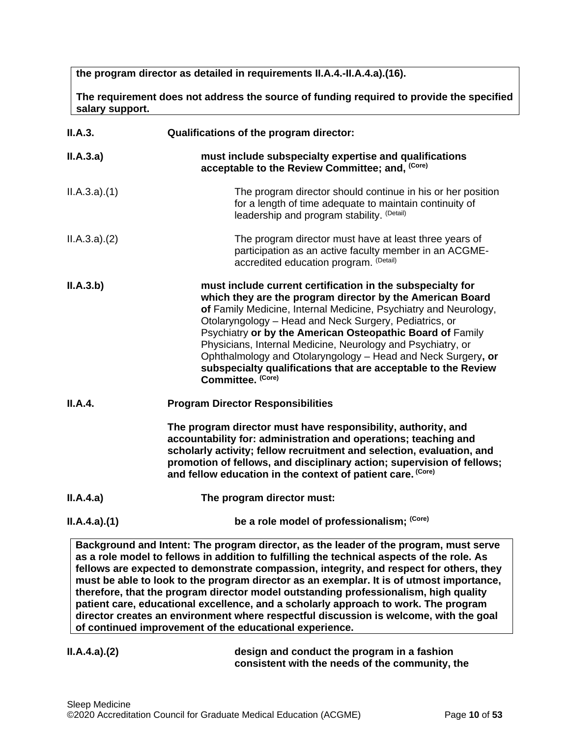**the program director as detailed in requirements II.A.4.-II.A.4.a).(16).** 

**The requirement does not address the source of funding required to provide the specified salary support.**

| II.A.3.     | Qualifications of the program director:                                                                                                                                                                                                                                                                                                                                                                                                                                                                                                 |
|-------------|-----------------------------------------------------------------------------------------------------------------------------------------------------------------------------------------------------------------------------------------------------------------------------------------------------------------------------------------------------------------------------------------------------------------------------------------------------------------------------------------------------------------------------------------|
| II.A.3.a)   | must include subspecialty expertise and qualifications<br>acceptable to the Review Committee; and, (Core)                                                                                                                                                                                                                                                                                                                                                                                                                               |
| ILA.3.a)(1) | The program director should continue in his or her position<br>for a length of time adequate to maintain continuity of<br>leadership and program stability. (Detail)                                                                                                                                                                                                                                                                                                                                                                    |
| ILA.3.a)(2) | The program director must have at least three years of<br>participation as an active faculty member in an ACGME-<br>accredited education program. (Detail)                                                                                                                                                                                                                                                                                                                                                                              |
| II.A.3.b)   | must include current certification in the subspecialty for<br>which they are the program director by the American Board<br>of Family Medicine, Internal Medicine, Psychiatry and Neurology,<br>Otolaryngology - Head and Neck Surgery, Pediatrics, or<br>Psychiatry or by the American Osteopathic Board of Family<br>Physicians, Internal Medicine, Neurology and Psychiatry, or<br>Ophthalmology and Otolaryngology - Head and Neck Surgery, or<br>subspecialty qualifications that are acceptable to the Review<br>Committee. (Core) |
| II.A.4.     | <b>Program Director Responsibilities</b>                                                                                                                                                                                                                                                                                                                                                                                                                                                                                                |
|             | The program director must have responsibility, authority, and<br>accountability for: administration and operations; teaching and<br>scholarly activity; fellow recruitment and selection, evaluation, and<br>promotion of fellows, and disciplinary action; supervision of fellows;<br>and fellow education in the context of patient care. (Core)                                                                                                                                                                                      |
| II.A.4.a)   | The program director must:                                                                                                                                                                                                                                                                                                                                                                                                                                                                                                              |
| ILA.4.a)(1) | be a role model of professionalism; (Core)                                                                                                                                                                                                                                                                                                                                                                                                                                                                                              |
|             | Reckarging and Intont: The program director, as the leader of the program, must serve                                                                                                                                                                                                                                                                                                                                                                                                                                                   |

**Background and Intent: The program director, as the leader of the program, must serve as a role model to fellows in addition to fulfilling the technical aspects of the role. As fellows are expected to demonstrate compassion, integrity, and respect for others, they must be able to look to the program director as an exemplar. It is of utmost importance, therefore, that the program director model outstanding professionalism, high quality patient care, educational excellence, and a scholarly approach to work. The program director creates an environment where respectful discussion is welcome, with the goal of continued improvement of the educational experience.**

**II.A.4.a).(2) design and conduct the program in a fashion consistent with the needs of the community, the**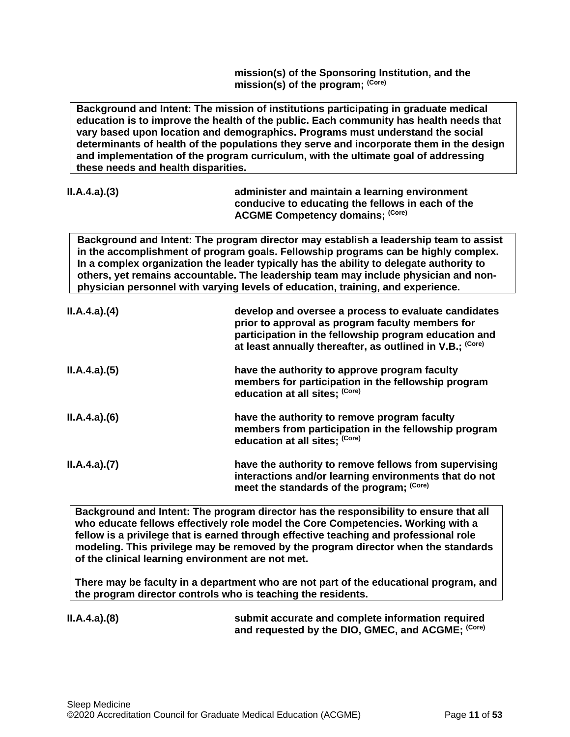**mission(s) of the Sponsoring Institution, and the mission(s) of the program; (Core)**

**Background and Intent: The mission of institutions participating in graduate medical education is to improve the health of the public. Each community has health needs that vary based upon location and demographics. Programs must understand the social determinants of health of the populations they serve and incorporate them in the design and implementation of the program curriculum, with the ultimate goal of addressing these needs and health disparities.** 

| ILA.4.a)(3) | administer and maintain a learning environment    |
|-------------|---------------------------------------------------|
|             | conducive to educating the fellows in each of the |
|             | <b>ACGME Competency domains; (Core)</b>           |

**Background and Intent: The program director may establish a leadership team to assist in the accomplishment of program goals. Fellowship programs can be highly complex. In a complex organization the leader typically has the ability to delegate authority to others, yet remains accountable. The leadership team may include physician and nonphysician personnel with varying levels of education, training, and experience.**

| ILA.4.a)(4) | develop and oversee a process to evaluate candidates<br>prior to approval as program faculty members for<br>participation in the fellowship program education and<br>at least annually thereafter, as outlined in V.B.; (Core) |
|-------------|--------------------------------------------------------------------------------------------------------------------------------------------------------------------------------------------------------------------------------|
| ILA.4.a)(5) | have the authority to approve program faculty<br>members for participation in the fellowship program<br>education at all sites; (Core)                                                                                         |
| ILA.4.a)(6) | have the authority to remove program faculty<br>members from participation in the fellowship program<br>education at all sites; (Core)                                                                                         |
| ILA.4.a)(7) | have the authority to remove fellows from supervising<br>interactions and/or learning environments that do not<br>meet the standards of the program; (Core)                                                                    |

**Background and Intent: The program director has the responsibility to ensure that all who educate fellows effectively role model the Core Competencies. Working with a fellow is a privilege that is earned through effective teaching and professional role modeling. This privilege may be removed by the program director when the standards of the clinical learning environment are not met.**

**There may be faculty in a department who are not part of the educational program, and the program director controls who is teaching the residents.**

**II.A.4.a).(8) submit accurate and complete information required and requested by the DIO, GMEC, and ACGME; (Core)**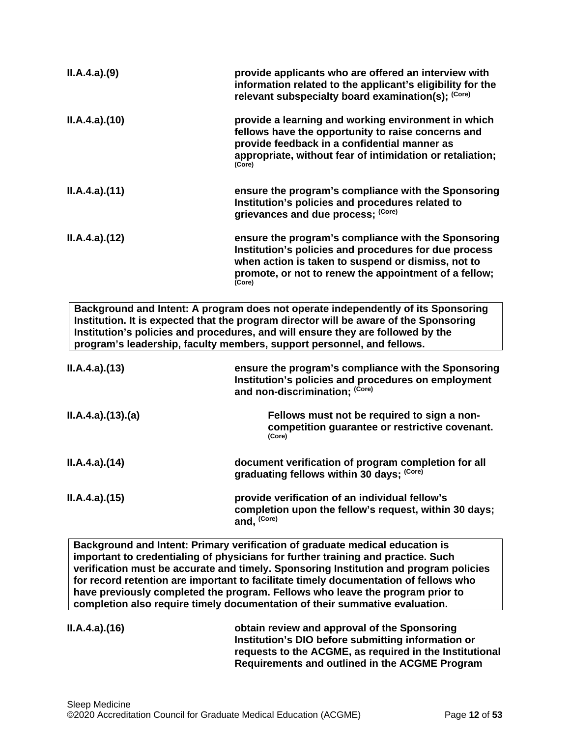| ILA.4.a)(9)     | provide applicants who are offered an interview with<br>information related to the applicant's eligibility for the<br>relevant subspecialty board examination(s); (Core)                                                                                                                                                                |
|-----------------|-----------------------------------------------------------------------------------------------------------------------------------------------------------------------------------------------------------------------------------------------------------------------------------------------------------------------------------------|
| ILA.4.a)(10)    | provide a learning and working environment in which<br>fellows have the opportunity to raise concerns and<br>provide feedback in a confidential manner as<br>appropriate, without fear of intimidation or retaliation;<br>(Core)                                                                                                        |
| ILA.4.a)(11)    | ensure the program's compliance with the Sponsoring<br>Institution's policies and procedures related to<br>grievances and due process; (Core)                                                                                                                                                                                           |
| ILA.4.a)(12)    | ensure the program's compliance with the Sponsoring<br>Institution's policies and procedures for due process<br>when action is taken to suspend or dismiss, not to<br>promote, or not to renew the appointment of a fellow;<br>(Core)                                                                                                   |
|                 | Background and Intent: A program does not operate independently of its Sponsoring<br>Institution. It is expected that the program director will be aware of the Sponsoring<br>Institution's policies and procedures, and will ensure they are followed by the<br>program's leadership, faculty members, support personnel, and fellows. |
| ILA.4.a)(13)    | ensure the program's compliance with the Sponsoring<br>Institution's policies and procedures on employment<br>and non-discrimination; (Core)                                                                                                                                                                                            |
| ILA.4.a)(13)(a) | Fellows must not be required to sign a non-<br>competition guarantee or restrictive covenant.<br>(Core)                                                                                                                                                                                                                                 |
| ILA.4.a)(14)    | document verification of program completion for all<br>graduating fellows within 30 days; (Core)                                                                                                                                                                                                                                        |
| ILA.4.a)(15)    | provide verification of an individual fellow's<br>completion upon the fellow's request, within 30 days;<br>and, (Core)                                                                                                                                                                                                                  |

**Background and Intent: Primary verification of graduate medical education is important to credentialing of physicians for further training and practice. Such verification must be accurate and timely. Sponsoring Institution and program policies for record retention are important to facilitate timely documentation of fellows who have previously completed the program. Fellows who leave the program prior to completion also require timely documentation of their summative evaluation.**

**II.A.4.a).(16) obtain review and approval of the Sponsoring Institution's DIO before submitting information or requests to the ACGME, as required in the Institutional Requirements and outlined in the ACGME Program**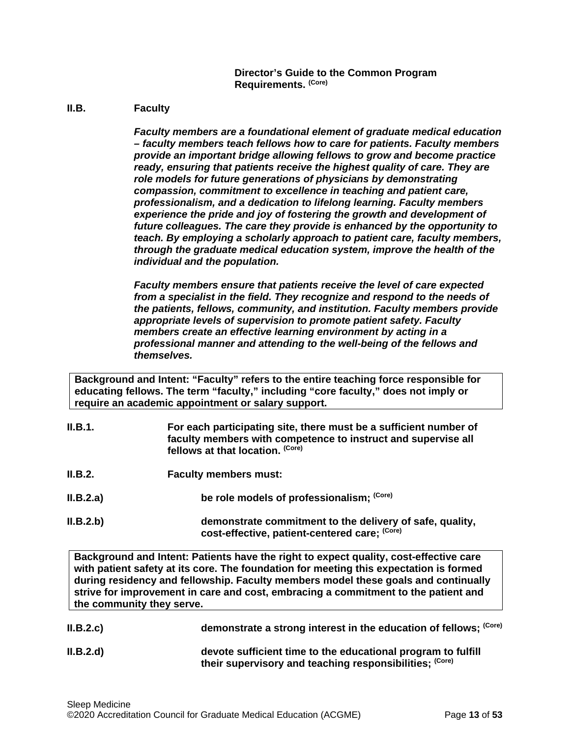**Director's Guide to the Common Program Requirements. (Core)**

#### <span id="page-12-0"></span>**II.B. Faculty**

*Faculty members are a foundational element of graduate medical education – faculty members teach fellows how to care for patients. Faculty members provide an important bridge allowing fellows to grow and become practice ready, ensuring that patients receive the highest quality of care. They are role models for future generations of physicians by demonstrating compassion, commitment to excellence in teaching and patient care, professionalism, and a dedication to lifelong learning. Faculty members experience the pride and joy of fostering the growth and development of future colleagues. The care they provide is enhanced by the opportunity to teach. By employing a scholarly approach to patient care, faculty members, through the graduate medical education system, improve the health of the individual and the population.*

*Faculty members ensure that patients receive the level of care expected from a specialist in the field. They recognize and respond to the needs of the patients, fellows, community, and institution. Faculty members provide appropriate levels of supervision to promote patient safety. Faculty members create an effective learning environment by acting in a professional manner and attending to the well-being of the fellows and themselves.*

**Background and Intent: "Faculty" refers to the entire teaching force responsible for educating fellows. The term "faculty," including "core faculty," does not imply or require an academic appointment or salary support.**

- **II.B.1. For each participating site, there must be a sufficient number of faculty members with competence to instruct and supervise all fellows at that location. (Core)**
- **II.B.2. Faculty members must:**
- **II.B.2.a) be role models of professionalism;**  $\frac{(Core)}{2}$
- **II.B.2.b) demonstrate commitment to the delivery of safe, quality, cost-effective, patient-centered care; (Core)**

**Background and Intent: Patients have the right to expect quality, cost-effective care with patient safety at its core. The foundation for meeting this expectation is formed during residency and fellowship. Faculty members model these goals and continually strive for improvement in care and cost, embracing a commitment to the patient and the community they serve.**

- **II.B.2.c) demonstrate a strong interest in the education of fellows; <sup>(Core)</sup>**
- **II.B.2.d) devote sufficient time to the educational program to fulfill their supervisory and teaching responsibilities; (Core)**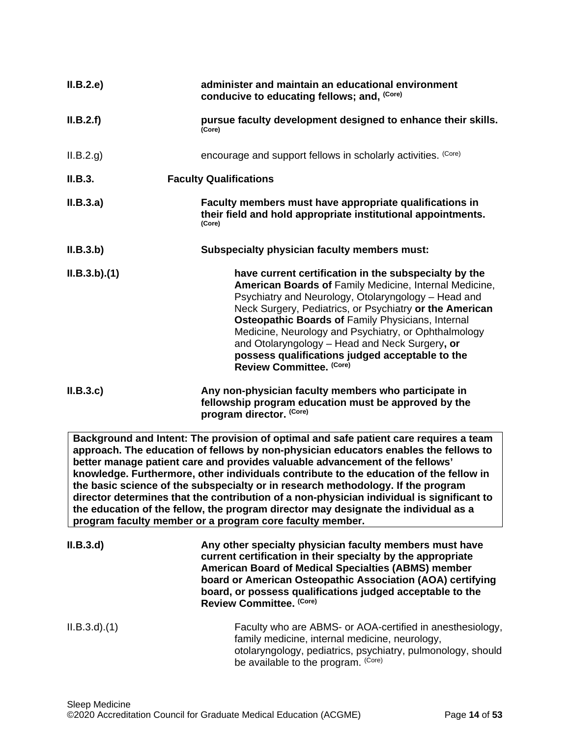| II.B.2.e    | administer and maintain an educational environment<br>conducive to educating fellows; and, (Core)                                                                                                                                                                                                                                                                                                                                                                               |
|-------------|---------------------------------------------------------------------------------------------------------------------------------------------------------------------------------------------------------------------------------------------------------------------------------------------------------------------------------------------------------------------------------------------------------------------------------------------------------------------------------|
| II.B.2.f)   | pursue faculty development designed to enhance their skills.<br>(Core)                                                                                                                                                                                                                                                                                                                                                                                                          |
| II.B.2.g)   | encourage and support fellows in scholarly activities. (Core)                                                                                                                                                                                                                                                                                                                                                                                                                   |
| II.B.3.     | <b>Faculty Qualifications</b>                                                                                                                                                                                                                                                                                                                                                                                                                                                   |
| II.B.3.a)   | Faculty members must have appropriate qualifications in<br>their field and hold appropriate institutional appointments.<br>(Core)                                                                                                                                                                                                                                                                                                                                               |
| II.B.3.b)   | Subspecialty physician faculty members must:                                                                                                                                                                                                                                                                                                                                                                                                                                    |
| ILB.3.b)(1) | have current certification in the subspecialty by the<br>American Boards of Family Medicine, Internal Medicine,<br>Psychiatry and Neurology, Otolaryngology - Head and<br>Neck Surgery, Pediatrics, or Psychiatry or the American<br>Osteopathic Boards of Family Physicians, Internal<br>Medicine, Neurology and Psychiatry, or Ophthalmology<br>and Otolaryngology - Head and Neck Surgery, or<br>possess qualifications judged acceptable to the<br>Review Committee. (Core) |
| II.B.3.c    | Any non-physician faculty members who participate in<br>fellowship program education must be approved by the<br>program director. (Core)                                                                                                                                                                                                                                                                                                                                        |

**Background and Intent: The provision of optimal and safe patient care requires a team approach. The education of fellows by non-physician educators enables the fellows to better manage patient care and provides valuable advancement of the fellows' knowledge. Furthermore, other individuals contribute to the education of the fellow in the basic science of the subspecialty or in research methodology. If the program director determines that the contribution of a non-physician individual is significant to the education of the fellow, the program director may designate the individual as a program faculty member or a program core faculty member.**

| II.B.3.d        | Any other specialty physician faculty members must have<br>current certification in their specialty by the appropriate<br><b>American Board of Medical Specialties (ABMS) member</b><br>board or American Osteopathic Association (AOA) certifying<br>board, or possess qualifications judged acceptable to the<br>Review Committee. (Core) |
|-----------------|---------------------------------------------------------------------------------------------------------------------------------------------------------------------------------------------------------------------------------------------------------------------------------------------------------------------------------------------|
| $ILB.3.d$ $(1)$ | Faculty who are ABMS- or AOA-certified in anesthesiology,<br>family medicine, internal medicine, neurology,<br>otolaryngology, pediatrics, psychiatry, pulmonology, should<br>be available to the program. (Core)                                                                                                                           |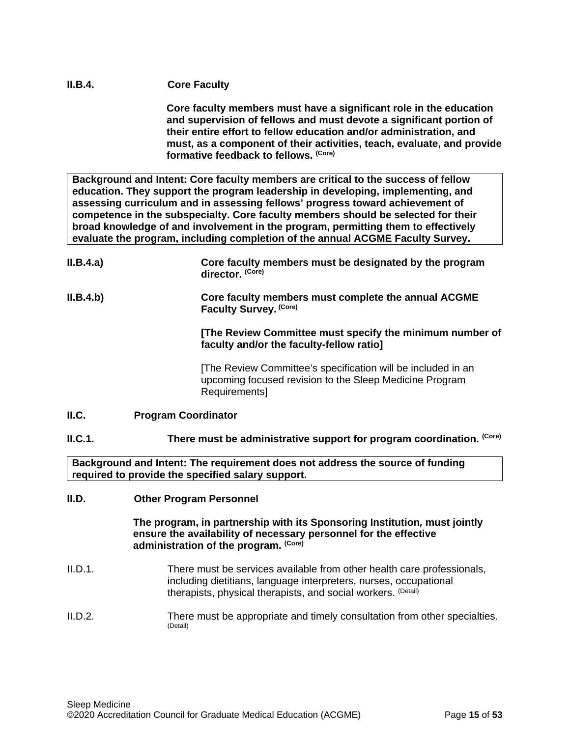## **II.B.4. Core Faculty**

**Core faculty members must have a significant role in the education and supervision of fellows and must devote a significant portion of their entire effort to fellow education and/or administration, and must, as a component of their activities, teach, evaluate, and provide formative feedback to fellows. (Core)**

**Background and Intent: Core faculty members are critical to the success of fellow education. They support the program leadership in developing, implementing, and assessing curriculum and in assessing fellows' progress toward achievement of competence in the subspecialty. Core faculty members should be selected for their broad knowledge of and involvement in the program, permitting them to effectively evaluate the program, including completion of the annual ACGME Faculty Survey.**

| II.B.4.a) | Core faculty members must be designated by the program<br>director. (Core)                                                              |
|-----------|-----------------------------------------------------------------------------------------------------------------------------------------|
| II.B.4.b) | Core faculty members must complete the annual ACGME<br>Faculty Survey. (Core)                                                           |
|           | [The Review Committee must specify the minimum number of<br>faculty and/or the faculty-fellow ratio]                                    |
|           | The Review Committee's specification will be included in an<br>upcoming focused revision to the Sleep Medicine Program<br>Requirements] |
| ILC.      | <b>Program Coordinator</b>                                                                                                              |

## <span id="page-14-0"></span>**II.C.1. There must be administrative support for program coordination.** (Core)

**Background and Intent: The requirement does not address the source of funding required to provide the specified salary support.**

## <span id="page-14-1"></span>**II.D. Other Program Personnel**

**The program, in partnership with its Sponsoring Institution***,* **must jointly ensure the availability of necessary personnel for the effective administration of the program. (Core)**

- II.D.1. There must be services available from other health care professionals, including dietitians, language interpreters, nurses, occupational therapists, physical therapists, and social workers. (Detail)
- II.D.2. There must be appropriate and timely consultation from other specialties. (Detail)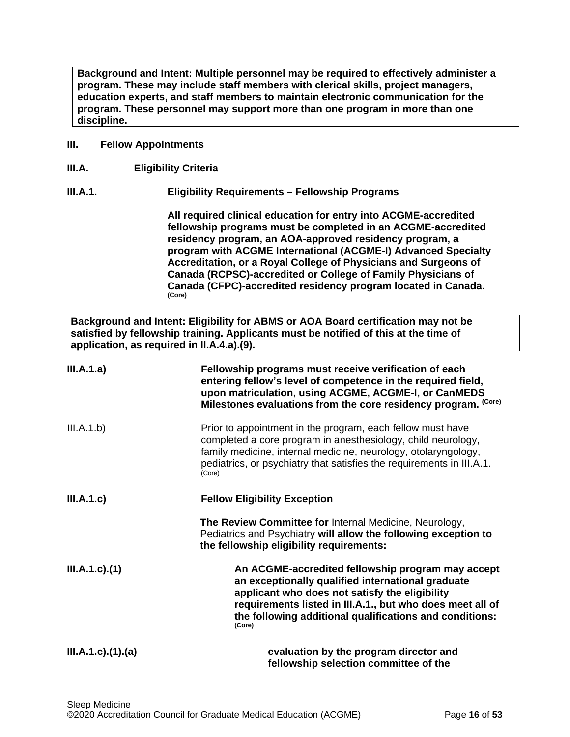**Background and Intent: Multiple personnel may be required to effectively administer a program. These may include staff members with clerical skills, project managers, education experts, and staff members to maintain electronic communication for the program. These personnel may support more than one program in more than one discipline.**

### <span id="page-15-0"></span>**III. Fellow Appointments**

<span id="page-15-1"></span>**III.A. Eligibility Criteria**

## **III.A.1. Eligibility Requirements – Fellowship Programs**

**All required clinical education for entry into ACGME-accredited fellowship programs must be completed in an ACGME-accredited residency program, an AOA-approved residency program, a program with ACGME International (ACGME-I) Advanced Specialty Accreditation, or a Royal College of Physicians and Surgeons of Canada (RCPSC)-accredited or College of Family Physicians of Canada (CFPC)-accredited residency program located in Canada. (Core)**

**Background and Intent: Eligibility for ABMS or AOA Board certification may not be satisfied by fellowship training. Applicants must be notified of this at the time of application, as required in II.A.4.a).(9).**

| III.A.1.a)                | Fellowship programs must receive verification of each<br>entering fellow's level of competence in the required field,<br>upon matriculation, using ACGME, ACGME-I, or CanMEDS<br>Milestones evaluations from the core residency program. (Core)                                            |
|---------------------------|--------------------------------------------------------------------------------------------------------------------------------------------------------------------------------------------------------------------------------------------------------------------------------------------|
| III.A.1.b)                | Prior to appointment in the program, each fellow must have<br>completed a core program in anesthesiology, child neurology,<br>family medicine, internal medicine, neurology, otolaryngology,<br>pediatrics, or psychiatry that satisfies the requirements in III.A.1.<br>(Core)            |
| III.A.1.c)                | <b>Fellow Eligibility Exception</b>                                                                                                                                                                                                                                                        |
|                           | The Review Committee for Internal Medicine, Neurology,<br>Pediatrics and Psychiatry will allow the following exception to<br>the fellowship eligibility requirements:                                                                                                                      |
| $III.A.1.c$ ). $(1)$      | An ACGME-accredited fellowship program may accept<br>an exceptionally qualified international graduate<br>applicant who does not satisfy the eligibility<br>requirements listed in III.A.1., but who does meet all of<br>the following additional qualifications and conditions:<br>(Core) |
| $III.A.1.c$ ). $(1).$ (a) | evaluation by the program director and<br>fellowship selection committee of the                                                                                                                                                                                                            |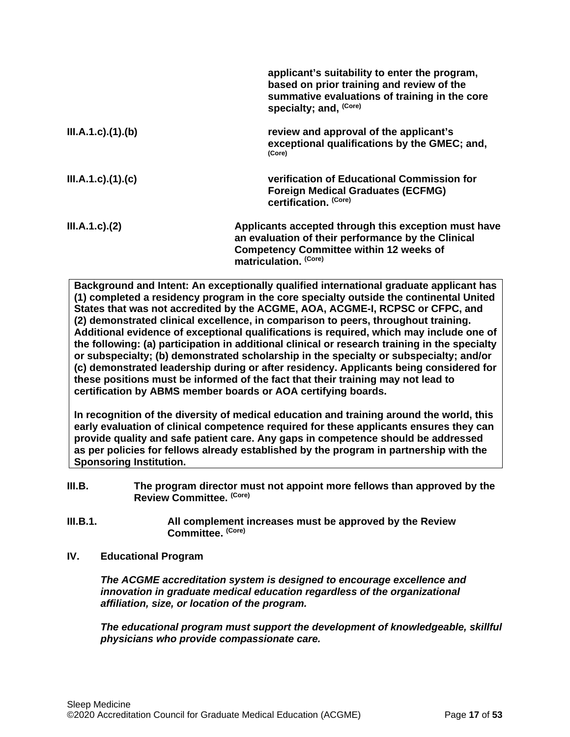|                           | applicant's suitability to enter the program,<br>based on prior training and review of the<br>summative evaluations of training in the core<br>specialty; and, (Core)                 |
|---------------------------|---------------------------------------------------------------------------------------------------------------------------------------------------------------------------------------|
| III.A.1.c)(1)(b)          | review and approval of the applicant's<br>exceptional qualifications by the GMEC; and,<br>(Core)                                                                                      |
| $III.A.1.c$ ). $(1).$ (c) | verification of Educational Commission for<br><b>Foreign Medical Graduates (ECFMG)</b><br>certification. (Core)                                                                       |
| $III.A.1.c$ ). $(2)$      | Applicants accepted through this exception must have<br>an evaluation of their performance by the Clinical<br><b>Competency Committee within 12 weeks of</b><br>matriculation. (Core) |

**Background and Intent: An exceptionally qualified international graduate applicant has (1) completed a residency program in the core specialty outside the continental United States that was not accredited by the ACGME, AOA, ACGME-I, RCPSC or CFPC, and (2) demonstrated clinical excellence, in comparison to peers, throughout training. Additional evidence of exceptional qualifications is required, which may include one of the following: (a) participation in additional clinical or research training in the specialty or subspecialty; (b) demonstrated scholarship in the specialty or subspecialty; and/or (c) demonstrated leadership during or after residency. Applicants being considered for these positions must be informed of the fact that their training may not lead to certification by ABMS member boards or AOA certifying boards.**

**In recognition of the diversity of medical education and training around the world, this early evaluation of clinical competence required for these applicants ensures they can provide quality and safe patient care. Any gaps in competence should be addressed as per policies for fellows already established by the program in partnership with the Sponsoring Institution.**

- <span id="page-16-0"></span>**III.B. The program director must not appoint more fellows than approved by the Review Committee. (Core)**
- **III.B.1. All complement increases must be approved by the Review Committee. (Core)**
- <span id="page-16-1"></span>**IV. Educational Program**

*The ACGME accreditation system is designed to encourage excellence and innovation in graduate medical education regardless of the organizational affiliation, size, or location of the program.*

*The educational program must support the development of knowledgeable, skillful physicians who provide compassionate care.*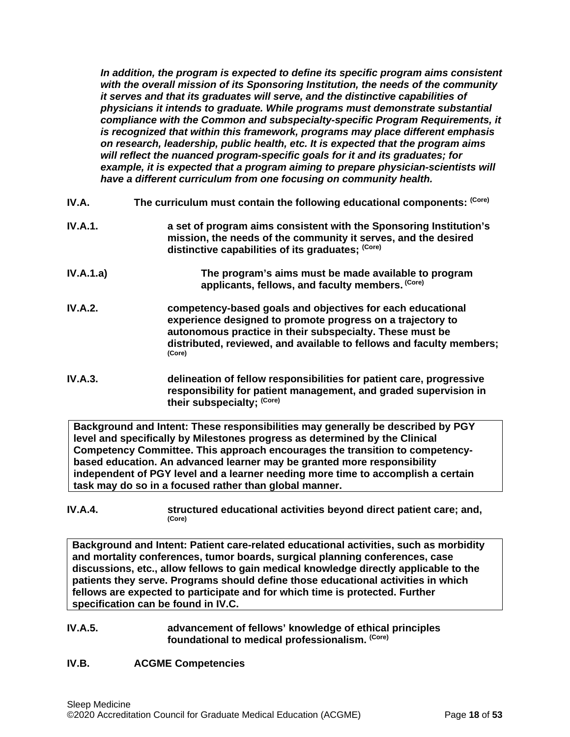*In addition, the program is expected to define its specific program aims consistent with the overall mission of its Sponsoring Institution, the needs of the community it serves and that its graduates will serve, and the distinctive capabilities of physicians it intends to graduate. While programs must demonstrate substantial compliance with the Common and subspecialty-specific Program Requirements, it is recognized that within this framework, programs may place different emphasis on research, leadership, public health, etc. It is expected that the program aims will reflect the nuanced program-specific goals for it and its graduates; for example, it is expected that a program aiming to prepare physician-scientists will have a different curriculum from one focusing on community health.*

- <span id="page-17-0"></span>**IV.A.** The curriculum must contain the following educational components: <sup>(Core)</sup>
- **IV.A.1. a set of program aims consistent with the Sponsoring Institution's mission, the needs of the community it serves, and the desired distinctive capabilities of its graduates; (Core)**
- **IV.A.1.a) The program's aims must be made available to program applicants, fellows, and faculty members. (Core)**
- **IV.A.2. competency-based goals and objectives for each educational experience designed to promote progress on a trajectory to autonomous practice in their subspecialty. These must be distributed, reviewed, and available to fellows and faculty members; (Core)**
- **IV.A.3. delineation of fellow responsibilities for patient care, progressive responsibility for patient management, and graded supervision in their subspecialty; (Core)**

**Background and Intent: These responsibilities may generally be described by PGY level and specifically by Milestones progress as determined by the Clinical Competency Committee. This approach encourages the transition to competencybased education. An advanced learner may be granted more responsibility independent of PGY level and a learner needing more time to accomplish a certain task may do so in a focused rather than global manner.**

**IV.A.4. structured educational activities beyond direct patient care; and,**  $(Core)$ 

**Background and Intent: Patient care-related educational activities, such as morbidity and mortality conferences, tumor boards, surgical planning conferences, case discussions, etc., allow fellows to gain medical knowledge directly applicable to the patients they serve. Programs should define those educational activities in which fellows are expected to participate and for which time is protected. Further specification can be found in IV.C.**

- **IV.A.5. advancement of fellows' knowledge of ethical principles foundational to medical professionalism. (Core)**
- <span id="page-17-1"></span>**IV.B. ACGME Competencies**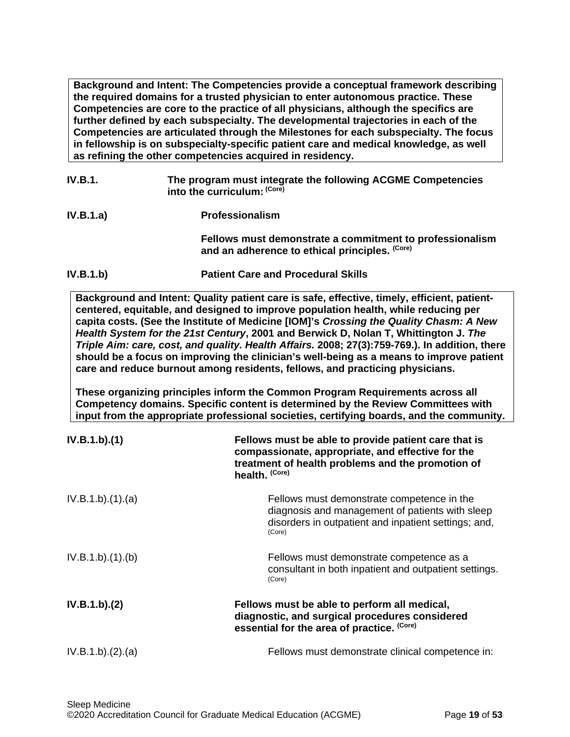**Background and Intent: The Competencies provide a conceptual framework describing the required domains for a trusted physician to enter autonomous practice. These Competencies are core to the practice of all physicians, although the specifics are further defined by each subspecialty. The developmental trajectories in each of the Competencies are articulated through the Milestones for each subspecialty. The focus in fellowship is on subspecialty-specific patient care and medical knowledge, as well as refining the other competencies acquired in residency.**

- **IV.B.1. The program must integrate the following ACGME Competencies into the curriculum: (Core)**
- **IV.B.1.a) Professionalism Fellows must demonstrate a commitment to professionalism and an adherence to ethical principles. (Core)**
- **IV.B.1.b) Patient Care and Procedural Skills**

**Background and Intent: Quality patient care is safe, effective, timely, efficient, patientcentered, equitable, and designed to improve population health, while reducing per capita costs. (See the Institute of Medicine [IOM]'s** *Crossing the Quality Chasm: A New Health System for the 21st Century***, 2001 and Berwick D, Nolan T, Whittington J.** *The Triple Aim: care, cost, and quality. Health Affairs.* **2008; 27(3):759-769.). In addition, there should be a focus on improving the clinician's well-being as a means to improve patient care and reduce burnout among residents, fellows, and practicing physicians.**

**These organizing principles inform the Common Program Requirements across all Competency domains. Specific content is determined by the Review Committees with input from the appropriate professional societies, certifying boards, and the community.**

| IV.B.1.b)(1)     | Fellows must be able to provide patient care that is<br>compassionate, appropriate, and effective for the<br>treatment of health problems and the promotion of<br>health. (Core) |
|------------------|----------------------------------------------------------------------------------------------------------------------------------------------------------------------------------|
| IV.B.1.b)(1)(a)  | Fellows must demonstrate competence in the<br>diagnosis and management of patients with sleep<br>disorders in outpatient and inpatient settings; and,<br>(Core)                  |
| IV.B.1.b)(1)(b)  | Fellows must demonstrate competence as a<br>consultant in both inpatient and outpatient settings.<br>(Core)                                                                      |
| IV.B.1.b)(2)     | Fellows must be able to perform all medical,<br>diagnostic, and surgical procedures considered<br>essential for the area of practice. (Core)                                     |
| IV.B.1.b)(2).(a) | Fellows must demonstrate clinical competence in:                                                                                                                                 |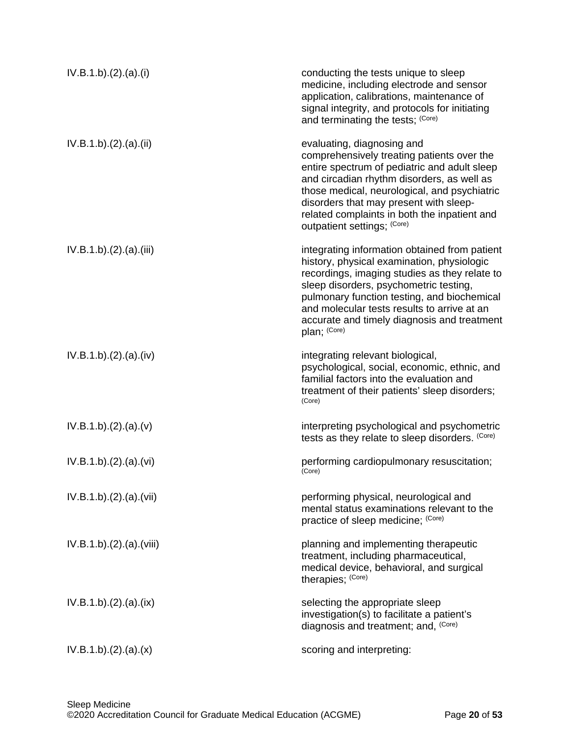| IV.B.1.b)(2).(a)(i)   | conducting the tests unique to sleep<br>medicine, including electrode and sensor<br>application, calibrations, maintenance of<br>signal integrity, and protocols for initiating<br>and terminating the tests; (Core)                                                                                                                                |
|-----------------------|-----------------------------------------------------------------------------------------------------------------------------------------------------------------------------------------------------------------------------------------------------------------------------------------------------------------------------------------------------|
| IV.B.1.b)(2).(a)(ii)  | evaluating, diagnosing and<br>comprehensively treating patients over the<br>entire spectrum of pediatric and adult sleep<br>and circadian rhythm disorders, as well as<br>those medical, neurological, and psychiatric<br>disorders that may present with sleep-<br>related complaints in both the inpatient and<br>outpatient settings; (Core)     |
| IV.B.1.b)(2).(a)(iii) | integrating information obtained from patient<br>history, physical examination, physiologic<br>recordings, imaging studies as they relate to<br>sleep disorders, psychometric testing,<br>pulmonary function testing, and biochemical<br>and molecular tests results to arrive at an<br>accurate and timely diagnosis and treatment<br>plan; (Core) |
| IV.B.1.b)(2).(a)(iv)  | integrating relevant biological,<br>psychological, social, economic, ethnic, and<br>familial factors into the evaluation and<br>treatment of their patients' sleep disorders;<br>(Core)                                                                                                                                                             |
| IV.B.1.b)(2).(a)(v)   | interpreting psychological and psychometric<br>tests as they relate to sleep disorders. (Core)                                                                                                                                                                                                                                                      |
| IV.B.1.b)(2).(a)(vi)  | performing cardiopulmonary resuscitation;<br>(Core)                                                                                                                                                                                                                                                                                                 |
| IV.B.1.b)(2)(a)(vii)  | performing physical, neurological and<br>mental status examinations relevant to the<br>practice of sleep medicine; (Core)                                                                                                                                                                                                                           |
| IV.B.1.b)(2)(a)(viii) | planning and implementing therapeutic<br>treatment, including pharmaceutical,<br>medical device, behavioral, and surgical<br>therapies; (Core)                                                                                                                                                                                                      |
| IV.B.1.b)(2).(a)(ix)  | selecting the appropriate sleep<br>investigation(s) to facilitate a patient's<br>diagnosis and treatment; and, (Core)                                                                                                                                                                                                                               |
| IV.B.1.b)(2).(a)(x)   | scoring and interpreting:                                                                                                                                                                                                                                                                                                                           |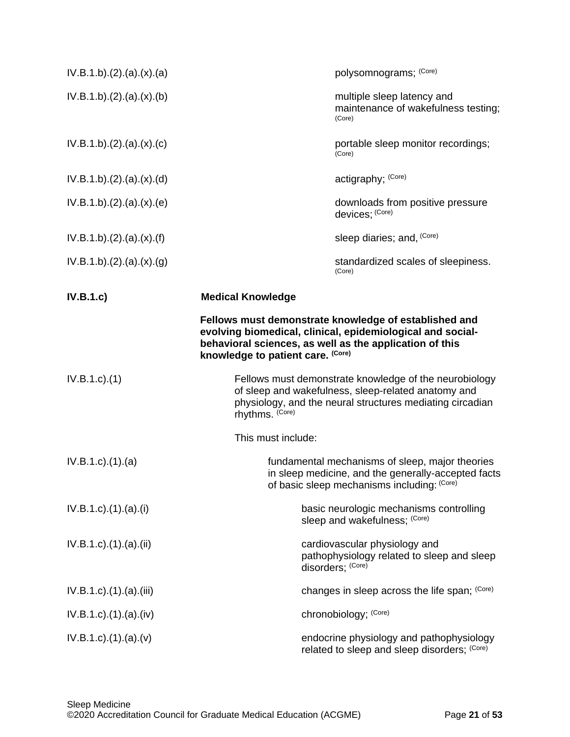| IV.B.1.b)(2)(a)(x)(a)            | polysomnograms; (Core)                                                                                                                                                                                              |
|----------------------------------|---------------------------------------------------------------------------------------------------------------------------------------------------------------------------------------------------------------------|
| IV.B.1.b)(2).(a).(x).(b)         | multiple sleep latency and<br>maintenance of wakefulness testing;<br>(Core)                                                                                                                                         |
| IV.B.1.b)(2).(a).(x).(c)         | portable sleep monitor recordings;<br>(Core)                                                                                                                                                                        |
| IV.B.1.b)(2)(a)(x)(d)            | actigraphy; (Core)                                                                                                                                                                                                  |
| IV.B.1.b)(2).(a).(x).(e)         | downloads from positive pressure<br>devices; (Core)                                                                                                                                                                 |
| IV.B.1.b)(2)(a)(x)(f)            | sleep diaries; and, (Core)                                                                                                                                                                                          |
| IV.B.1.b)(2).(a)(x).(g)          | standardized scales of sleepiness.<br>(Core)                                                                                                                                                                        |
| IV.B.1.c)                        | <b>Medical Knowledge</b>                                                                                                                                                                                            |
|                                  | Fellows must demonstrate knowledge of established and<br>evolving biomedical, clinical, epidemiological and social-<br>behavioral sciences, as well as the application of this<br>knowledge to patient care. (Core) |
| $IV.B.1.c$ ). $(1)$              | Fellows must demonstrate knowledge of the neurobiology<br>of sleep and wakefulness, sleep-related anatomy and<br>physiology, and the neural structures mediating circadian<br>rhythms. (Core)                       |
|                                  | This must include:                                                                                                                                                                                                  |
| $IV.B.1.c$ . $(1).$ $(a)$        | fundamental mechanisms of sleep, major theories<br>in sleep medicine, and the generally-accepted facts<br>of basic sleep mechanisms including: (Core)                                                               |
| IV.B.1.c).(1).(a).(i)            | basic neurologic mechanisms controlling<br>sleep and wakefulness; (Core)                                                                                                                                            |
| IV.B.1.c).(1).(a).(ii)           | cardiovascular physiology and<br>pathophysiology related to sleep and sleep<br>disorders; (Core)                                                                                                                    |
| IV.B.1.c).(1).(a).(iii)          | changes in sleep across the life span; (Core)                                                                                                                                                                       |
| IV.B.1.c).(1).(a).(iv)           | chronobiology; (Core)                                                                                                                                                                                               |
| $IV.B.1.c$ . $(1).$ $(a).$ $(v)$ | endocrine physiology and pathophysiology<br>related to sleep and sleep disorders; (Core)                                                                                                                            |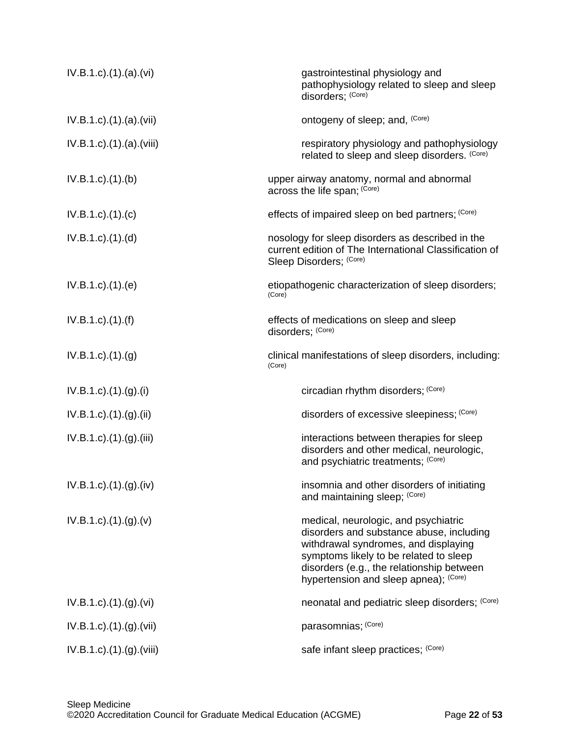| IV.B.1.c).(1).(a).(vi)             | gastrointestinal physiology and<br>pathophysiology related to sleep and sleep<br>disorders; (Core)                                                                                                                                                       |
|------------------------------------|----------------------------------------------------------------------------------------------------------------------------------------------------------------------------------------------------------------------------------------------------------|
| $IV.B.1.c$ . $(1).$ $(a).$ $(vii)$ | ontogeny of sleep; and, (Core)                                                                                                                                                                                                                           |
| IV.B.1.c).(1).(a).(viii)           | respiratory physiology and pathophysiology<br>related to sleep and sleep disorders. (Core)                                                                                                                                                               |
| $IV.B.1.c$ . $(1).$ (b)            | upper airway anatomy, normal and abnormal<br>across the life span; (Core)                                                                                                                                                                                |
| $IV.B.1.c$ ). $(1)$ . $(c)$        | effects of impaired sleep on bed partners; (Core)                                                                                                                                                                                                        |
| $IV.B.1.c$ . $(1).$ $(d)$          | nosology for sleep disorders as described in the<br>current edition of The International Classification of<br>Sleep Disorders; (Core)                                                                                                                    |
| $IV.B.1.c$ . $(1).$ (e)            | etiopathogenic characterization of sleep disorders;<br>(Core)                                                                                                                                                                                            |
| $IV.B.1.c$ ). $(1)$ . $(f)$        | effects of medications on sleep and sleep<br>disorders; (Core)                                                                                                                                                                                           |
| IV.B.1.c).(1).(g)                  | clinical manifestations of sleep disorders, including:<br>(Core)                                                                                                                                                                                         |
| IV.B.1.c).(1).(g).(i)              | circadian rhythm disorders; (Core)                                                                                                                                                                                                                       |
| $IV.B.1.c$ ). $(1).(g).(ii)$       | disorders of excessive sleepiness; (Core)                                                                                                                                                                                                                |
| $IV.B.1.c$ . $(1).(g).(iii)$       | interactions between therapies for sleep<br>disorders and other medical, neurologic,<br>and psychiatric treatments; (Core)                                                                                                                               |
| $IV.B.1.c$ ). $(1).(g).(iv)$       | insomnia and other disorders of initiating<br>and maintaining sleep; (Core)                                                                                                                                                                              |
| $IV.B.1.c$ . $(1).(g).(v)$         | medical, neurologic, and psychiatric<br>disorders and substance abuse, including<br>withdrawal syndromes, and displaying<br>symptoms likely to be related to sleep<br>disorders (e.g., the relationship between<br>hypertension and sleep apnea); (Core) |
| IV.B.1.c) (1) (g) (vi)             | neonatal and pediatric sleep disorders; (Core)                                                                                                                                                                                                           |
| $IV.B.1.c$ . $(1).(g).(Vii)$       | parasomnias; (Core)                                                                                                                                                                                                                                      |
| $IV.B.1.c$ . $(1).(g).(Viii)$      | safe infant sleep practices; (Core)                                                                                                                                                                                                                      |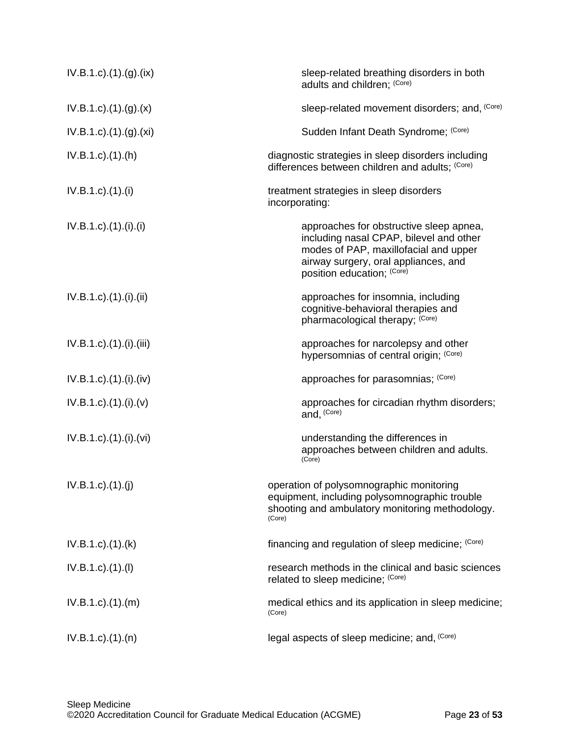| IV.B.1.c).(1).(g).(ix)                 | sleep-related breathing disorders in both<br>adults and children; (Core)                                                                                                                          |
|----------------------------------------|---------------------------------------------------------------------------------------------------------------------------------------------------------------------------------------------------|
| $IV.B.1.c$ ). $(1).(g).(x)$            | sleep-related movement disorders; and, (Core)                                                                                                                                                     |
| IV.B.1.c).(1).(g).(xi)                 | Sudden Infant Death Syndrome; (Core)                                                                                                                                                              |
| $IV.B.1.c$ . $(1).(h)$                 | diagnostic strategies in sleep disorders including<br>differences between children and adults; (Core)                                                                                             |
| $IV.B.1.c$ ). $(1).$                   | treatment strategies in sleep disorders<br>incorporating:                                                                                                                                         |
| $IV.B.1.c$ ). $(1)$ . $(ii)$ . $(ii)$  | approaches for obstructive sleep apnea,<br>including nasal CPAP, bilevel and other<br>modes of PAP, maxillofacial and upper<br>airway surgery, oral appliances, and<br>position education; (Core) |
| $IV.B.1.c$ ). $(1)$ . $(ii)$ . $(ii)$  | approaches for insomnia, including<br>cognitive-behavioral therapies and<br>pharmacological therapy; (Core)                                                                                       |
| $IV.B.1.c$ ). $(1)$ . $(ii)$ . $(iii)$ | approaches for narcolepsy and other<br>hypersomnias of central origin; (Core)                                                                                                                     |
| $IV.B.1.c$ ). $(1)$ . $(iv)$           | approaches for parasomnias; (Core)                                                                                                                                                                |
| $IV.B.1.c$ ). $(1).(i).(v)$            | approaches for circadian rhythm disorders;<br>and, (Core)                                                                                                                                         |
| $IV.B.1.c$ ). $(1)$ . $(ii)$ . $(vi)$  | understanding the differences in<br>approaches between children and adults.<br>(Core)                                                                                                             |
| IV.B.1.c)(1)(j)                        | operation of polysomnographic monitoring<br>equipment, including polysomnographic trouble<br>shooting and ambulatory monitoring methodology.<br>(Core)                                            |
| $IV.B.1.c$ ). $(1)$ . $(k)$            | financing and regulation of sleep medicine; (Core)                                                                                                                                                |
| $IV.B.1.c$ ). $(1).$                   | research methods in the clinical and basic sciences<br>related to sleep medicine; (Core)                                                                                                          |
| $IV.B.1.c$ . $(1).$ $(m)$              | medical ethics and its application in sleep medicine;<br>(Core)                                                                                                                                   |
| $IV.B.1.c$ ). $(1).(n)$                | legal aspects of sleep medicine; and, (Core)                                                                                                                                                      |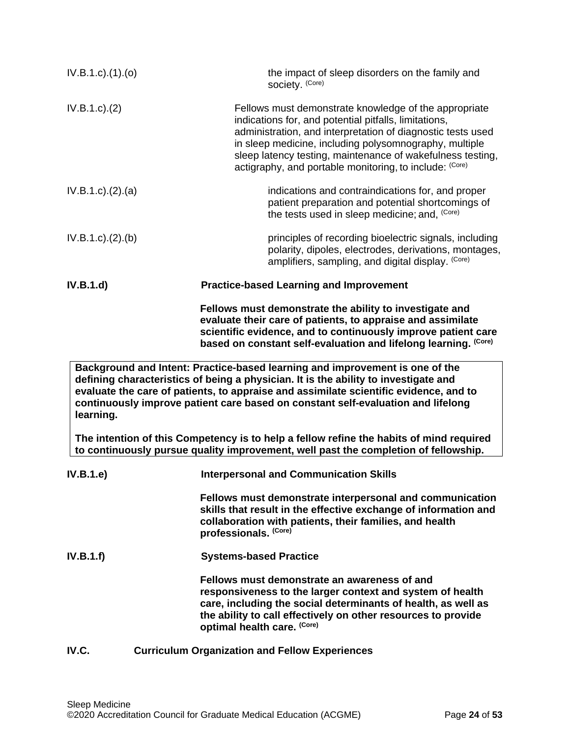| $IV.B.1.c$ ). $(1).$ (0) | the impact of sleep disorders on the family and<br>society. (Core)                                                                                                                                                                                                                                                                                               |
|--------------------------|------------------------------------------------------------------------------------------------------------------------------------------------------------------------------------------------------------------------------------------------------------------------------------------------------------------------------------------------------------------|
| IV.B.1.c.)(2)            | Fellows must demonstrate knowledge of the appropriate<br>indications for, and potential pitfalls, limitations,<br>administration, and interpretation of diagnostic tests used<br>in sleep medicine, including polysomnography, multiple<br>sleep latency testing, maintenance of wakefulness testing,<br>actigraphy, and portable monitoring, to include: (Core) |
| IV.B.1.c). (2). (a)      | indications and contraindications for, and proper<br>patient preparation and potential shortcomings of<br>the tests used in sleep medicine; and, (Core)                                                                                                                                                                                                          |
| IV.B.1.c). (2). (b)      | principles of recording bioelectric signals, including<br>polarity, dipoles, electrodes, derivations, montages,<br>amplifiers, sampling, and digital display. (Core)                                                                                                                                                                                             |
| IV.B.1.d)                | <b>Practice-based Learning and Improvement</b>                                                                                                                                                                                                                                                                                                                   |
|                          | Fellows must demonstrate the ability to investigate and<br>evaluate their care of patients, to appraise and assimilate<br>scientific evidence, and to continuously improve patient care<br>based on constant self-evaluation and lifelong learning. (Core)                                                                                                       |
| learning.                | Background and Intent: Practice-based learning and improvement is one of the<br>defining characteristics of being a physician. It is the ability to investigate and<br>evaluate the care of patients, to appraise and assimilate scientific evidence, and to<br>continuously improve patient care based on constant self-evaluation and lifelong                 |
|                          | The intention of this Competency is to help a fellow refine the habits of mind required<br>to continuously pursue quality improvement, well past the completion of fellowship.                                                                                                                                                                                   |
| IV.B.1.e)                | <b>Interpersonal and Communication Skills</b>                                                                                                                                                                                                                                                                                                                    |
|                          | Fellows must demonstrate interpersonal and communication<br>skills that result in the effective exchange of information and<br>collaboration with patients, their families, and health<br>professionals. (Core)                                                                                                                                                  |
| IV.B.1.f)                | <b>Systems-based Practice</b>                                                                                                                                                                                                                                                                                                                                    |
|                          | Fellows must demonstrate an awareness of and<br>responsiveness to the larger context and system of health<br>care, including the social determinants of health, as well as<br>the ability to call effectively on other resources to provide                                                                                                                      |

# <span id="page-23-0"></span>**IV.C. Curriculum Organization and Fellow Experiences**

**optimal health care. (Core)**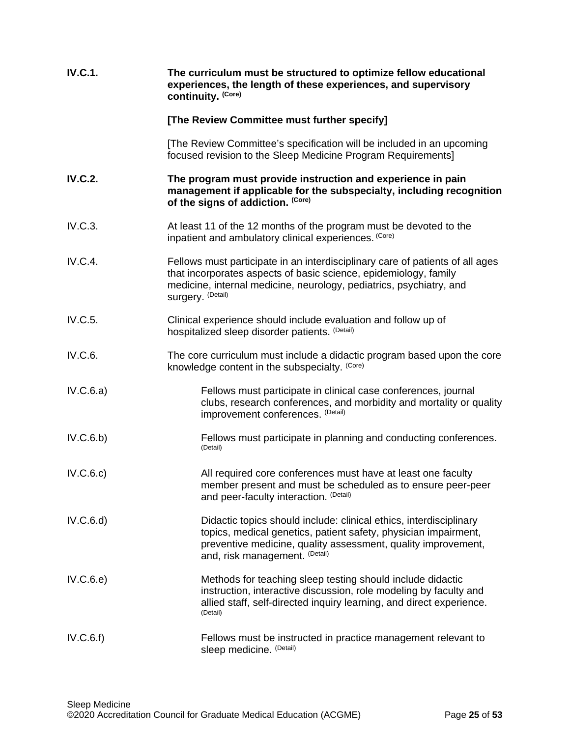| <b>IV.C.1.</b> | The curriculum must be structured to optimize fellow educational<br>experiences, the length of these experiences, and supervisory<br>continuity. (Core)                                                                                       |
|----------------|-----------------------------------------------------------------------------------------------------------------------------------------------------------------------------------------------------------------------------------------------|
|                | [The Review Committee must further specify]                                                                                                                                                                                                   |
|                | [The Review Committee's specification will be included in an upcoming<br>focused revision to the Sleep Medicine Program Requirements]                                                                                                         |
| <b>IV.C.2.</b> | The program must provide instruction and experience in pain<br>management if applicable for the subspecialty, including recognition<br>of the signs of addiction. (Core)                                                                      |
| IV.C.3.        | At least 11 of the 12 months of the program must be devoted to the<br>inpatient and ambulatory clinical experiences. (Core)                                                                                                                   |
| IV.C.4.        | Fellows must participate in an interdisciplinary care of patients of all ages<br>that incorporates aspects of basic science, epidemiology, family<br>medicine, internal medicine, neurology, pediatrics, psychiatry, and<br>surgery. (Detail) |
| IV.C.5.        | Clinical experience should include evaluation and follow up of<br>hospitalized sleep disorder patients. (Detail)                                                                                                                              |
| IV.C.6.        | The core curriculum must include a didactic program based upon the core<br>knowledge content in the subspecialty. (Core)                                                                                                                      |
| IV.C.6.a)      | Fellows must participate in clinical case conferences, journal<br>clubs, research conferences, and morbidity and mortality or quality<br>improvement conferences. (Detail)                                                                    |
| IV.C.6.b)      | Fellows must participate in planning and conducting conferences.<br>(Detail)                                                                                                                                                                  |
| IV.C.6.c)      | All required core conferences must have at least one faculty<br>member present and must be scheduled as to ensure peer-peer<br>and peer-faculty interaction. (Detail)                                                                         |
| IV.C.6.d)      | Didactic topics should include: clinical ethics, interdisciplinary<br>topics, medical genetics, patient safety, physician impairment,<br>preventive medicine, quality assessment, quality improvement,<br>and, risk management. (Detail)      |
| IV.C.6.e)      | Methods for teaching sleep testing should include didactic<br>instruction, interactive discussion, role modeling by faculty and<br>allied staff, self-directed inquiry learning, and direct experience.<br>(Detail)                           |
| IV.C.6.f)      | Fellows must be instructed in practice management relevant to<br>sleep medicine. (Detail)                                                                                                                                                     |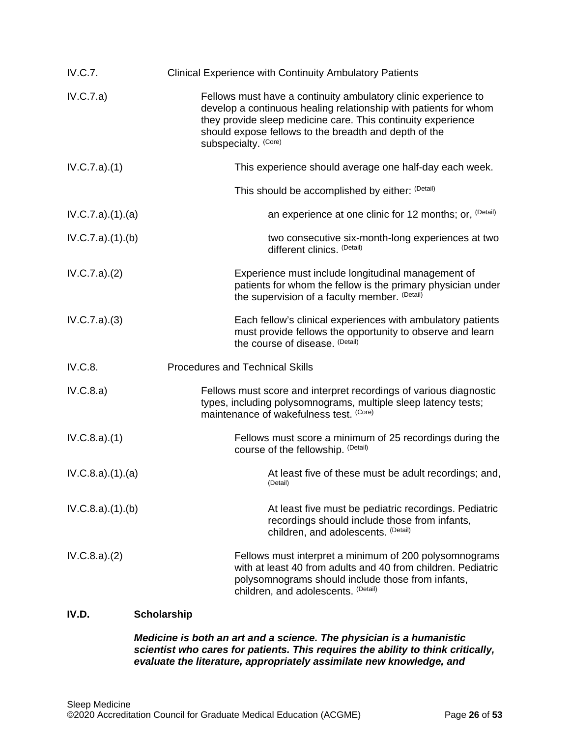| IV.C.7.          | <b>Clinical Experience with Continuity Ambulatory Patients</b>                                                                                                                                                                                                                      |
|------------------|-------------------------------------------------------------------------------------------------------------------------------------------------------------------------------------------------------------------------------------------------------------------------------------|
| IV.C.7.a)        | Fellows must have a continuity ambulatory clinic experience to<br>develop a continuous healing relationship with patients for whom<br>they provide sleep medicine care. This continuity experience<br>should expose fellows to the breadth and depth of the<br>subspecialty. (Core) |
| IV.C.7.a)(1)     | This experience should average one half-day each week.                                                                                                                                                                                                                              |
|                  | This should be accomplished by either: (Detail)                                                                                                                                                                                                                                     |
| IV.C.7.a)(1)(a)  | an experience at one clinic for 12 months; or, (Detail)                                                                                                                                                                                                                             |
| IV.C.7.a)(1)(b)  | two consecutive six-month-long experiences at two<br>different clinics. (Detail)                                                                                                                                                                                                    |
| IV.C.7.a)(2)     | Experience must include longitudinal management of<br>patients for whom the fellow is the primary physician under<br>the supervision of a faculty member. (Detail)                                                                                                                  |
| IV.C.7.a)(3)     | Each fellow's clinical experiences with ambulatory patients<br>must provide fellows the opportunity to observe and learn<br>the course of disease. (Detail)                                                                                                                         |
| IV.C.8.          | <b>Procedures and Technical Skills</b>                                                                                                                                                                                                                                              |
| IV.C.8.a)        | Fellows must score and interpret recordings of various diagnostic<br>types, including polysomnograms, multiple sleep latency tests;<br>maintenance of wakefulness test. (Core)                                                                                                      |
| IV.C.8.a)(1)     | Fellows must score a minimum of 25 recordings during the<br>course of the fellowship. (Detail)                                                                                                                                                                                      |
| IV.C.8.a)(1).(a) | At least five of these must be adult recordings; and,<br>(Detail)                                                                                                                                                                                                                   |
| IV.C.8.a)(1)(b)  | At least five must be pediatric recordings. Pediatric<br>recordings should include those from infants,<br>children, and adolescents. (Detail)                                                                                                                                       |
| IV.C.8.a)(2)     | Fellows must interpret a minimum of 200 polysomnograms<br>with at least 40 from adults and 40 from children. Pediatric<br>polysomnograms should include those from infants,<br>children, and adolescents. (Detail)                                                                  |

# <span id="page-25-0"></span>**IV.D. Scholarship**

## *Medicine is both an art and a science. The physician is a humanistic scientist who cares for patients. This requires the ability to think critically, evaluate the literature, appropriately assimilate new knowledge, and*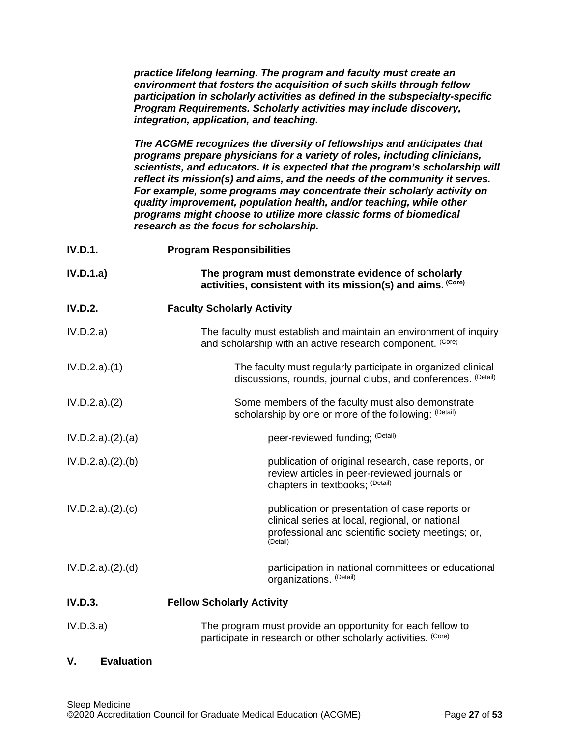*practice lifelong learning. The program and faculty must create an environment that fosters the acquisition of such skills through fellow participation in scholarly activities as defined in the subspecialty-specific Program Requirements. Scholarly activities may include discovery, integration, application, and teaching.*

*The ACGME recognizes the diversity of fellowships and anticipates that programs prepare physicians for a variety of roles, including clinicians, scientists, and educators. It is expected that the program's scholarship will reflect its mission(s) and aims, and the needs of the community it serves. For example, some programs may concentrate their scholarly activity on quality improvement, population health, and/or teaching, while other programs might choose to utilize more classic forms of biomedical research as the focus for scholarship.*

| <b>IV.D.1.</b>      | <b>Program Responsibilities</b>                                                                                                                                    |
|---------------------|--------------------------------------------------------------------------------------------------------------------------------------------------------------------|
| IV.D.1.a)           | The program must demonstrate evidence of scholarly<br>activities, consistent with its mission(s) and aims. (Core)                                                  |
| <b>IV.D.2.</b>      | <b>Faculty Scholarly Activity</b>                                                                                                                                  |
| IV.D.2.a)           | The faculty must establish and maintain an environment of inquiry<br>and scholarship with an active research component. (Core)                                     |
| IV.D.2.a)(1)        | The faculty must regularly participate in organized clinical<br>discussions, rounds, journal clubs, and conferences. (Detail)                                      |
| IV.D.2.a)(2)        | Some members of the faculty must also demonstrate<br>scholarship by one or more of the following: (Detail)                                                         |
| IV.D.2.a). (2). (a) | peer-reviewed funding; (Detail)                                                                                                                                    |
| IV.D.2.a). (2). (b) | publication of original research, case reports, or<br>review articles in peer-reviewed journals or<br>chapters in textbooks; (Detail)                              |
| IV.D.2.a)(2).(c)    | publication or presentation of case reports or<br>clinical series at local, regional, or national<br>professional and scientific society meetings; or,<br>(Detail) |
| IV.D.2.a). (2). (d) | participation in national committees or educational<br>organizations. (Detail)                                                                                     |
| <b>IV.D.3.</b>      | <b>Fellow Scholarly Activity</b>                                                                                                                                   |
| IV.D.3.a)           | The program must provide an opportunity for each fellow to                                                                                                         |

participate in research or other scholarly activities. (Core)

## <span id="page-26-0"></span>**V. Evaluation**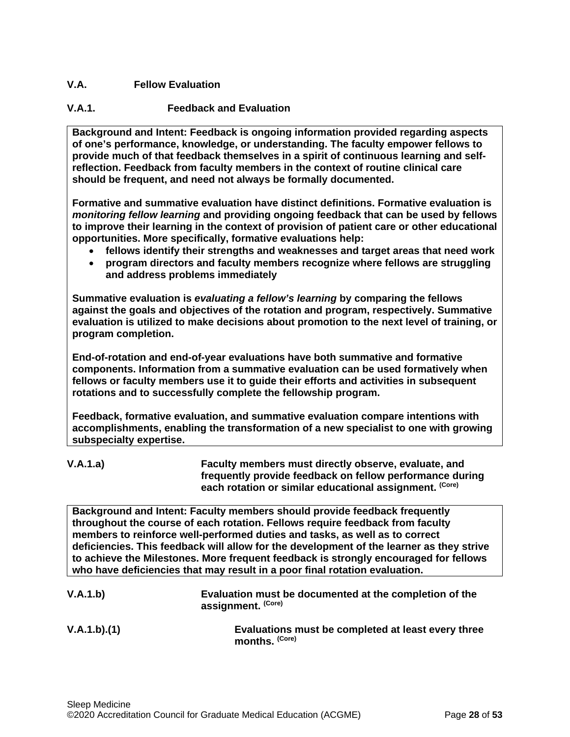## <span id="page-27-0"></span>**V.A. Fellow Evaluation**

## **V.A.1. Feedback and Evaluation**

**Background and Intent: Feedback is ongoing information provided regarding aspects of one's performance, knowledge, or understanding. The faculty empower fellows to provide much of that feedback themselves in a spirit of continuous learning and selfreflection. Feedback from faculty members in the context of routine clinical care should be frequent, and need not always be formally documented.**

**Formative and summative evaluation have distinct definitions. Formative evaluation is**  *monitoring fellow learning* **and providing ongoing feedback that can be used by fellows to improve their learning in the context of provision of patient care or other educational opportunities. More specifically, formative evaluations help:**

- **fellows identify their strengths and weaknesses and target areas that need work**
- **program directors and faculty members recognize where fellows are struggling and address problems immediately**

**Summative evaluation is** *evaluating a fellow's learning* **by comparing the fellows against the goals and objectives of the rotation and program, respectively. Summative evaluation is utilized to make decisions about promotion to the next level of training, or program completion.**

**End-of-rotation and end-of-year evaluations have both summative and formative components. Information from a summative evaluation can be used formatively when fellows or faculty members use it to guide their efforts and activities in subsequent rotations and to successfully complete the fellowship program.**

**Feedback, formative evaluation, and summative evaluation compare intentions with accomplishments, enabling the transformation of a new specialist to one with growing subspecialty expertise.** 

**V.A.1.a) Faculty members must directly observe, evaluate, and frequently provide feedback on fellow performance during each rotation or similar educational assignment. (Core)**

**Background and Intent: Faculty members should provide feedback frequently throughout the course of each rotation. Fellows require feedback from faculty members to reinforce well-performed duties and tasks, as well as to correct deficiencies. This feedback will allow for the development of the learner as they strive to achieve the Milestones. More frequent feedback is strongly encouraged for fellows who have deficiencies that may result in a poor final rotation evaluation.**

| V.A.1.b) | Evaluation must be documented at the completion of the |
|----------|--------------------------------------------------------|
|          | assignment. (Core)                                     |
|          |                                                        |

**V.A.1.b).(1) Evaluations must be completed at least every three months. (Core)**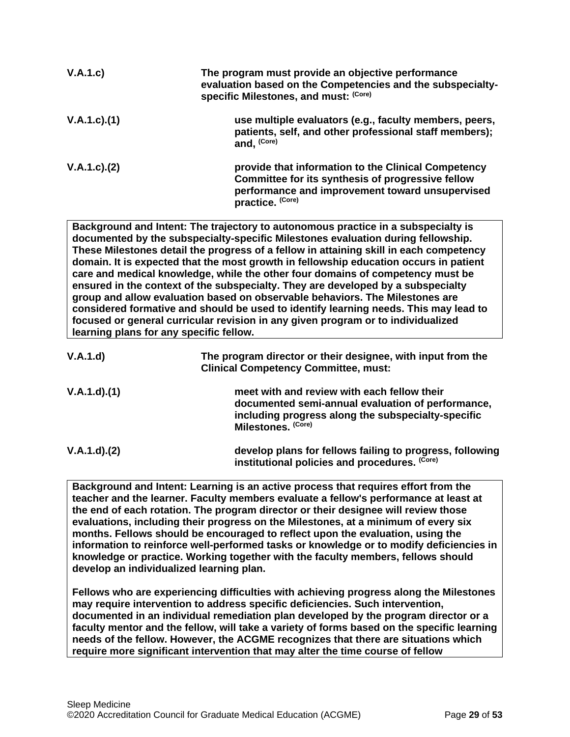| V.A.1.c)           | The program must provide an objective performance<br>evaluation based on the Competencies and the subspecialty-<br>specific Milestones, and must: (Core)                        |
|--------------------|---------------------------------------------------------------------------------------------------------------------------------------------------------------------------------|
| $V.A.1.c$ . $(1)$  | use multiple evaluators (e.g., faculty members, peers,<br>patients, self, and other professional staff members);<br>and. (Core)                                                 |
| $V.A.1.c$ ). $(2)$ | provide that information to the Clinical Competency<br>Committee for its synthesis of progressive fellow<br>performance and improvement toward unsupervised<br>practice. (Core) |

**Background and Intent: The trajectory to autonomous practice in a subspecialty is documented by the subspecialty-specific Milestones evaluation during fellowship. These Milestones detail the progress of a fellow in attaining skill in each competency domain. It is expected that the most growth in fellowship education occurs in patient care and medical knowledge, while the other four domains of competency must be ensured in the context of the subspecialty. They are developed by a subspecialty group and allow evaluation based on observable behaviors. The Milestones are considered formative and should be used to identify learning needs. This may lead to focused or general curricular revision in any given program or to individualized learning plans for any specific fellow.**

| V.A.1.d)    | The program director or their designee, with input from the<br><b>Clinical Competency Committee, must:</b>                                                                   |
|-------------|------------------------------------------------------------------------------------------------------------------------------------------------------------------------------|
| V.A.1.d)(1) | meet with and review with each fellow their<br>documented semi-annual evaluation of performance,<br>including progress along the subspecialty-specific<br>Milestones. (Core) |
| V.A.1.d)(2) | develop plans for fellows failing to progress, following<br>institutional policies and procedures. (Core)                                                                    |

**Background and Intent: Learning is an active process that requires effort from the teacher and the learner. Faculty members evaluate a fellow's performance at least at the end of each rotation. The program director or their designee will review those evaluations, including their progress on the Milestones, at a minimum of every six months. Fellows should be encouraged to reflect upon the evaluation, using the information to reinforce well-performed tasks or knowledge or to modify deficiencies in knowledge or practice. Working together with the faculty members, fellows should develop an individualized learning plan.**

**Fellows who are experiencing difficulties with achieving progress along the Milestones may require intervention to address specific deficiencies. Such intervention, documented in an individual remediation plan developed by the program director or a faculty mentor and the fellow, will take a variety of forms based on the specific learning needs of the fellow. However, the ACGME recognizes that there are situations which require more significant intervention that may alter the time course of fellow**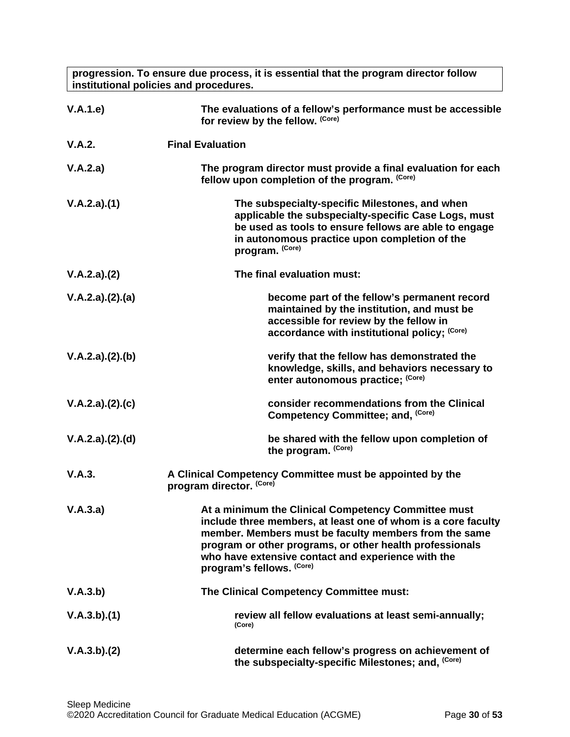**progression. To ensure due process, it is essential that the program director follow institutional policies and procedures.**

| V.A.1.e)        | The evaluations of a fellow's performance must be accessible<br>for review by the fellow. (Core)                                                                                                                                                                                                                             |
|-----------------|------------------------------------------------------------------------------------------------------------------------------------------------------------------------------------------------------------------------------------------------------------------------------------------------------------------------------|
| V.A.2.          | <b>Final Evaluation</b>                                                                                                                                                                                                                                                                                                      |
| V.A.2.a)        | The program director must provide a final evaluation for each<br>fellow upon completion of the program. (Core)                                                                                                                                                                                                               |
| V.A.2.a)(1)     | The subspecialty-specific Milestones, and when<br>applicable the subspecialty-specific Case Logs, must<br>be used as tools to ensure fellows are able to engage<br>in autonomous practice upon completion of the<br>program. (Core)                                                                                          |
| V.A.2.a)(2)     | The final evaluation must:                                                                                                                                                                                                                                                                                                   |
| V.A.2.a)(2).(a) | become part of the fellow's permanent record<br>maintained by the institution, and must be<br>accessible for review by the fellow in<br>accordance with institutional policy; (Core)                                                                                                                                         |
| V.A.2.a)(2).(b) | verify that the fellow has demonstrated the<br>knowledge, skills, and behaviors necessary to<br>enter autonomous practice; (Core)                                                                                                                                                                                            |
| V.A.2.a)(2).(c) | consider recommendations from the Clinical<br>Competency Committee; and, (Core)                                                                                                                                                                                                                                              |
| V.A.2.a)(2).(d) | be shared with the fellow upon completion of<br>the program. (Core)                                                                                                                                                                                                                                                          |
| V.A.3.          | A Clinical Competency Committee must be appointed by the<br>program director. (Core)                                                                                                                                                                                                                                         |
| V.A.3.a)        | At a minimum the Clinical Competency Committee must<br>include three members, at least one of whom is a core faculty<br>member. Members must be faculty members from the same<br>program or other programs, or other health professionals<br>who have extensive contact and experience with the<br>program's fellows. (Core) |
| V.A.3.b)        | The Clinical Competency Committee must:                                                                                                                                                                                                                                                                                      |
| V.A.3.b)(1)     | review all fellow evaluations at least semi-annually;<br>(Core)                                                                                                                                                                                                                                                              |
| V.A.3.b)(2)     | determine each fellow's progress on achievement of<br>the subspecialty-specific Milestones; and, (Core)                                                                                                                                                                                                                      |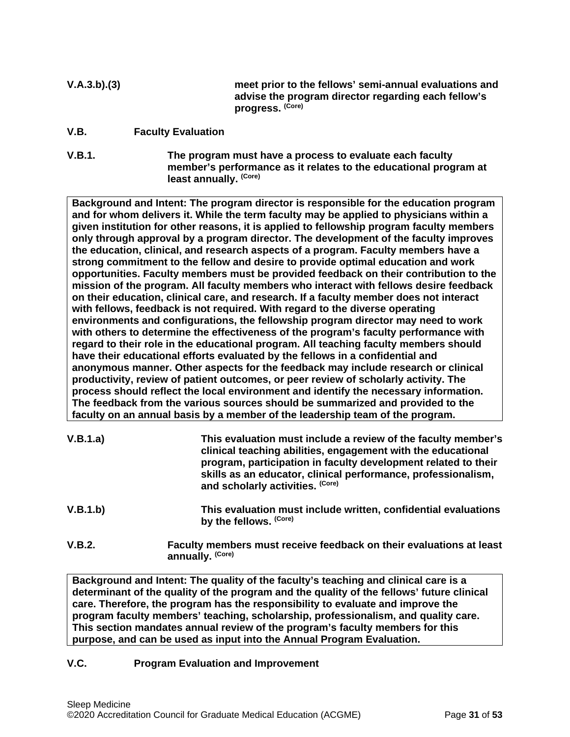- **V.A.3.b).(3) meet prior to the fellows' semi-annual evaluations and advise the program director regarding each fellow's progress. (Core)**
- <span id="page-30-0"></span>**V.B. Faculty Evaluation**
- **V.B.1. The program must have a process to evaluate each faculty member's performance as it relates to the educational program at least annually. (Core)**

**Background and Intent: The program director is responsible for the education program and for whom delivers it. While the term faculty may be applied to physicians within a given institution for other reasons, it is applied to fellowship program faculty members only through approval by a program director. The development of the faculty improves the education, clinical, and research aspects of a program. Faculty members have a strong commitment to the fellow and desire to provide optimal education and work opportunities. Faculty members must be provided feedback on their contribution to the mission of the program. All faculty members who interact with fellows desire feedback on their education, clinical care, and research. If a faculty member does not interact with fellows, feedback is not required. With regard to the diverse operating environments and configurations, the fellowship program director may need to work with others to determine the effectiveness of the program's faculty performance with regard to their role in the educational program. All teaching faculty members should have their educational efforts evaluated by the fellows in a confidential and anonymous manner. Other aspects for the feedback may include research or clinical productivity, review of patient outcomes, or peer review of scholarly activity. The process should reflect the local environment and identify the necessary information. The feedback from the various sources should be summarized and provided to the faculty on an annual basis by a member of the leadership team of the program.**

| V.B.1.a) | This evaluation must include a review of the faculty member's<br>clinical teaching abilities, engagement with the educational<br>program, participation in faculty development related to their<br>skills as an educator, clinical performance, professionalism,<br>and scholarly activities. (Core) |
|----------|------------------------------------------------------------------------------------------------------------------------------------------------------------------------------------------------------------------------------------------------------------------------------------------------------|
| V.B.1.b) | This evaluation must include written, confidential evaluations<br>by the fellows. (Core)                                                                                                                                                                                                             |
| V.B.2.   | Faculty members must receive feedback on their evaluations at least<br>annually. (Core)                                                                                                                                                                                                              |

**Background and Intent: The quality of the faculty's teaching and clinical care is a determinant of the quality of the program and the quality of the fellows' future clinical care. Therefore, the program has the responsibility to evaluate and improve the program faculty members' teaching, scholarship, professionalism, and quality care. This section mandates annual review of the program's faculty members for this purpose, and can be used as input into the Annual Program Evaluation.**

### <span id="page-30-1"></span>**V.C. Program Evaluation and Improvement**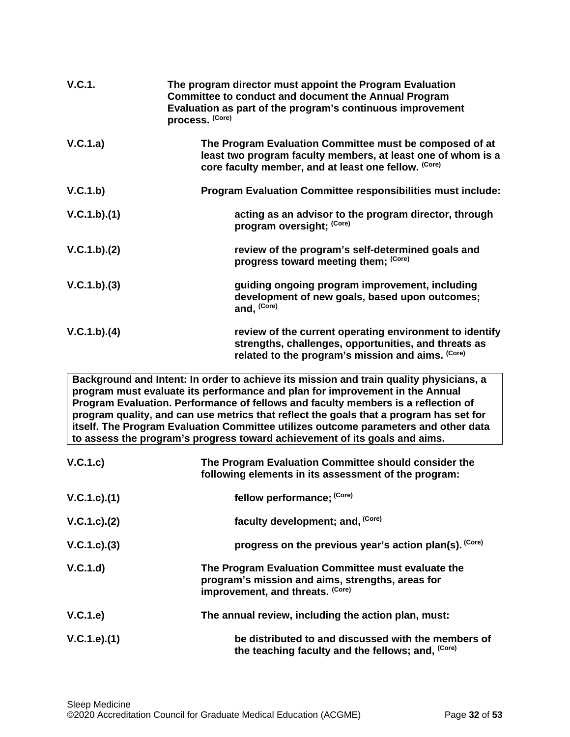| V.C.1.      | The program director must appoint the Program Evaluation<br><b>Committee to conduct and document the Annual Program</b><br>Evaluation as part of the program's continuous improvement<br>process. (Core) |
|-------------|----------------------------------------------------------------------------------------------------------------------------------------------------------------------------------------------------------|
| V.C.1.a)    | The Program Evaluation Committee must be composed of at<br>least two program faculty members, at least one of whom is a<br>core faculty member, and at least one fellow. (Core)                          |
| V.C.1.b)    | <b>Program Evaluation Committee responsibilities must include:</b>                                                                                                                                       |
| V.C.1.b)(1) | acting as an advisor to the program director, through<br>program oversight; (Core)                                                                                                                       |
| V.C.1.b)(2) | review of the program's self-determined goals and<br>progress toward meeting them; (Core)                                                                                                                |
| V.C.1.b)(3) | guiding ongoing program improvement, including<br>development of new goals, based upon outcomes;<br>and, (Core)                                                                                          |
| V.C.1.b)(4) | review of the current operating environment to identify<br>strengths, challenges, opportunities, and threats as<br>related to the program's mission and aims. (Core)                                     |

**Background and Intent: In order to achieve its mission and train quality physicians, a program must evaluate its performance and plan for improvement in the Annual Program Evaluation. Performance of fellows and faculty members is a reflection of program quality, and can use metrics that reflect the goals that a program has set for itself. The Program Evaluation Committee utilizes outcome parameters and other data to assess the program's progress toward achievement of its goals and aims.**

| V.C.1.c)        | The Program Evaluation Committee should consider the<br>following elements in its assessment of the program:                               |
|-----------------|--------------------------------------------------------------------------------------------------------------------------------------------|
| V.C.1.c).(1)    | fellow performance; (Core)                                                                                                                 |
| V.C.1.c). (2)   | faculty development; and, (Core)                                                                                                           |
| $V.C.1.c).$ (3) | progress on the previous year's action plan(s). (Core)                                                                                     |
| V.C.1.d         | The Program Evaluation Committee must evaluate the<br>program's mission and aims, strengths, areas for<br>improvement, and threats. (Core) |
| V.C.1.e)        | The annual review, including the action plan, must:                                                                                        |
| V.C.1.e).(1)    | be distributed to and discussed with the members of<br>the teaching faculty and the fellows; and, (Core)                                   |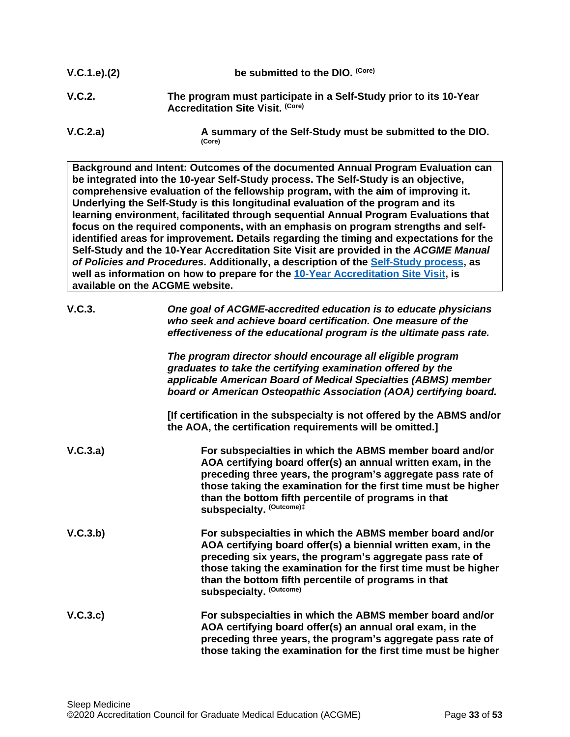| V.C.1.e). (2)                                    | be submitted to the DIO. (Core)                                                                              |
|--------------------------------------------------|--------------------------------------------------------------------------------------------------------------|
| V.C.2.                                           | The program must participate in a Self-Study prior to its 10-Year<br><b>Accreditation Site Visit. (Core)</b> |
| $\mathbf{11} \wedge \mathbf{2} \cdot \mathbf{1}$ | A accordance of the Calf Ctrishi model has acchied that the DIC                                              |

**V.C.2.a) A summary of the Self-Study must be submitted to the DIO. (Core)**

**Background and Intent: Outcomes of the documented Annual Program Evaluation can be integrated into the 10-year Self-Study process. The Self-Study is an objective, comprehensive evaluation of the fellowship program, with the aim of improving it. Underlying the Self-Study is this longitudinal evaluation of the program and its learning environment, facilitated through sequential Annual Program Evaluations that focus on the required components, with an emphasis on program strengths and selfidentified areas for improvement. Details regarding the timing and expectations for the Self-Study and the 10-Year Accreditation Site Visit are provided in the** *ACGME Manual of Policies and Procedures***. Additionally, a description of the [Self-Study process,](http://acgme.org/What-We-Do/Accreditation/Self-Study) as well as information on how to prepare for the [10-Year Accreditation Site Visit,](http://www.acgme.org/What-We-Do/Accreditation/Site-Visit/Eight-Steps-to-Prepare-for-the-10-Year-Accreditation-Site-Visit) is available on the ACGME website.**

| V.C.3.   | One goal of ACGME-accredited education is to educate physicians<br>who seek and achieve board certification. One measure of the<br>effectiveness of the educational program is the ultimate pass rate.                                                                                                                                        |
|----------|-----------------------------------------------------------------------------------------------------------------------------------------------------------------------------------------------------------------------------------------------------------------------------------------------------------------------------------------------|
|          | The program director should encourage all eligible program<br>graduates to take the certifying examination offered by the<br>applicable American Board of Medical Specialties (ABMS) member<br>board or American Osteopathic Association (AOA) certifying board.                                                                              |
|          | [If certification in the subspecialty is not offered by the ABMS and/or<br>the AOA, the certification requirements will be omitted.]                                                                                                                                                                                                          |
| V.C.3.a) | For subspecialties in which the ABMS member board and/or<br>AOA certifying board offer(s) an annual written exam, in the<br>preceding three years, the program's aggregate pass rate of<br>those taking the examination for the first time must be higher<br>than the bottom fifth percentile of programs in that<br>subspecialty. (Outcome)# |
| V.C.3.b) | For subspecialties in which the ABMS member board and/or<br>AOA certifying board offer(s) a biennial written exam, in the<br>preceding six years, the program's aggregate pass rate of<br>those taking the examination for the first time must be higher<br>than the bottom fifth percentile of programs in that<br>subspecialty. (Outcome)   |
| V.C.3.c) | For subspecialties in which the ABMS member board and/or<br>AOA certifying board offer(s) an annual oral exam, in the<br>preceding three years, the program's aggregate pass rate of<br>those taking the examination for the first time must be higher                                                                                        |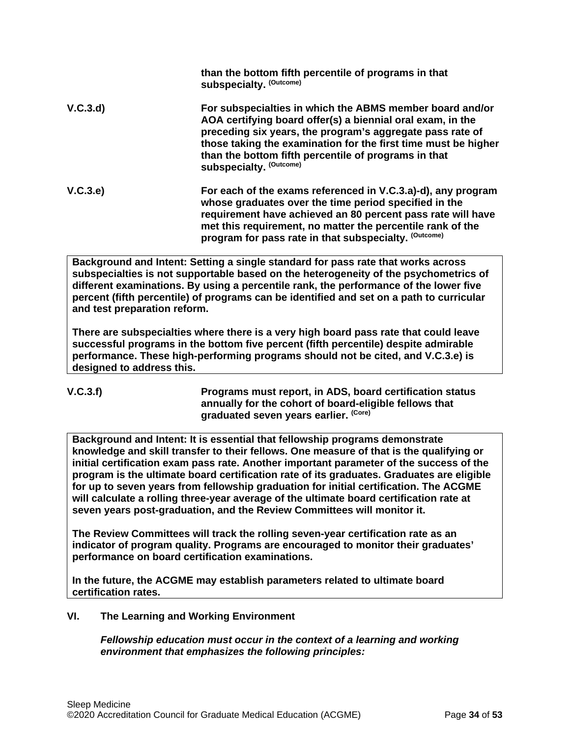|          | than the bottom fifth percentile of programs in that<br>subspecialty. (Outcome)                                                                                                                                                                                                                                                          |
|----------|------------------------------------------------------------------------------------------------------------------------------------------------------------------------------------------------------------------------------------------------------------------------------------------------------------------------------------------|
| V.C.3.d) | For subspecialties in which the ABMS member board and/or<br>AOA certifying board offer(s) a biennial oral exam, in the<br>preceding six years, the program's aggregate pass rate of<br>those taking the examination for the first time must be higher<br>than the bottom fifth percentile of programs in that<br>subspecialty. (Outcome) |
| V.C.3.e) | For each of the exams referenced in V.C.3.a)-d), any program<br>whose graduates over the time period specified in the<br>requirement have achieved an 80 percent pass rate will have<br>met this requirement, no matter the percentile rank of the<br>program for pass rate in that subspecialty. (Outcome)                              |

**Background and Intent: Setting a single standard for pass rate that works across subspecialties is not supportable based on the heterogeneity of the psychometrics of different examinations. By using a percentile rank, the performance of the lower five percent (fifth percentile) of programs can be identified and set on a path to curricular and test preparation reform.**

**There are subspecialties where there is a very high board pass rate that could leave successful programs in the bottom five percent (fifth percentile) despite admirable performance. These high-performing programs should not be cited, and V.C.3.e) is designed to address this.**

**V.C.3.f) Programs must report, in ADS, board certification status annually for the cohort of board-eligible fellows that graduated seven years earlier. (Core)**

**Background and Intent: It is essential that fellowship programs demonstrate knowledge and skill transfer to their fellows. One measure of that is the qualifying or initial certification exam pass rate. Another important parameter of the success of the program is the ultimate board certification rate of its graduates. Graduates are eligible for up to seven years from fellowship graduation for initial certification. The ACGME will calculate a rolling three-year average of the ultimate board certification rate at seven years post-graduation, and the Review Committees will monitor it.**

**The Review Committees will track the rolling seven-year certification rate as an indicator of program quality. Programs are encouraged to monitor their graduates' performance on board certification examinations.**

**In the future, the ACGME may establish parameters related to ultimate board certification rates.**

## <span id="page-33-0"></span>**VI. The Learning and Working Environment**

*Fellowship education must occur in the context of a learning and working environment that emphasizes the following principles:*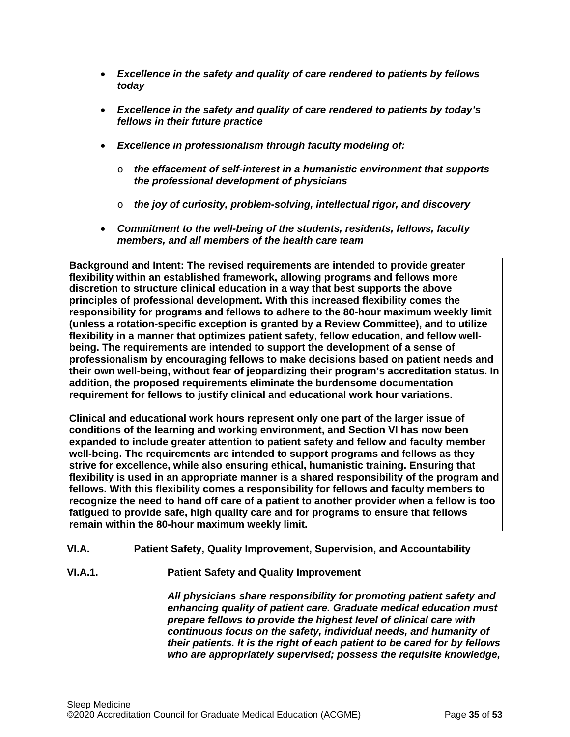- *Excellence in the safety and quality of care rendered to patients by fellows today*
- *Excellence in the safety and quality of care rendered to patients by today's fellows in their future practice*
- *Excellence in professionalism through faculty modeling of:*
	- o *the effacement of self-interest in a humanistic environment that supports the professional development of physicians*
	- o *the joy of curiosity, problem-solving, intellectual rigor, and discovery*
- *Commitment to the well-being of the students, residents, fellows, faculty members, and all members of the health care team*

**Background and Intent: The revised requirements are intended to provide greater flexibility within an established framework, allowing programs and fellows more discretion to structure clinical education in a way that best supports the above principles of professional development. With this increased flexibility comes the responsibility for programs and fellows to adhere to the 80-hour maximum weekly limit (unless a rotation-specific exception is granted by a Review Committee), and to utilize flexibility in a manner that optimizes patient safety, fellow education, and fellow wellbeing. The requirements are intended to support the development of a sense of professionalism by encouraging fellows to make decisions based on patient needs and their own well-being, without fear of jeopardizing their program's accreditation status. In addition, the proposed requirements eliminate the burdensome documentation requirement for fellows to justify clinical and educational work hour variations.**

**Clinical and educational work hours represent only one part of the larger issue of conditions of the learning and working environment, and Section VI has now been expanded to include greater attention to patient safety and fellow and faculty member well-being. The requirements are intended to support programs and fellows as they strive for excellence, while also ensuring ethical, humanistic training. Ensuring that flexibility is used in an appropriate manner is a shared responsibility of the program and fellows. With this flexibility comes a responsibility for fellows and faculty members to recognize the need to hand off care of a patient to another provider when a fellow is too fatigued to provide safe, high quality care and for programs to ensure that fellows remain within the 80-hour maximum weekly limit.**

## <span id="page-34-0"></span>**VI.A. Patient Safety, Quality Improvement, Supervision, and Accountability**

**VI.A.1. Patient Safety and Quality Improvement**

*All physicians share responsibility for promoting patient safety and enhancing quality of patient care. Graduate medical education must prepare fellows to provide the highest level of clinical care with continuous focus on the safety, individual needs, and humanity of their patients. It is the right of each patient to be cared for by fellows who are appropriately supervised; possess the requisite knowledge,*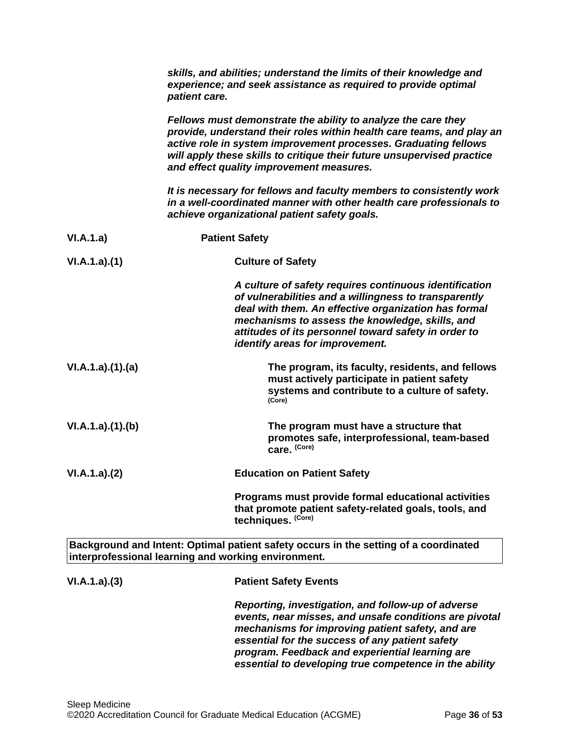|                 | skills, and abilities; understand the limits of their knowledge and<br>experience; and seek assistance as required to provide optimal<br>patient care.                                                                                                                                                                           |
|-----------------|----------------------------------------------------------------------------------------------------------------------------------------------------------------------------------------------------------------------------------------------------------------------------------------------------------------------------------|
|                 | Fellows must demonstrate the ability to analyze the care they<br>provide, understand their roles within health care teams, and play an<br>active role in system improvement processes. Graduating fellows<br>will apply these skills to critique their future unsupervised practice<br>and effect quality improvement measures.  |
|                 | It is necessary for fellows and faculty members to consistently work<br>in a well-coordinated manner with other health care professionals to<br>achieve organizational patient safety goals.                                                                                                                                     |
| VI.A.1.a)       | <b>Patient Safety</b>                                                                                                                                                                                                                                                                                                            |
| VI.A.1.a)(1)    | <b>Culture of Safety</b>                                                                                                                                                                                                                                                                                                         |
|                 | A culture of safety requires continuous identification<br>of vulnerabilities and a willingness to transparently<br>deal with them. An effective organization has formal<br>mechanisms to assess the knowledge, skills, and<br>attitudes of its personnel toward safety in order to<br>identify areas for improvement.            |
| VI.A.1.a)(1)(a) | The program, its faculty, residents, and fellows<br>must actively participate in patient safety<br>systems and contribute to a culture of safety.<br>(Core)                                                                                                                                                                      |
| VI.A.1.a)(1)(b) | The program must have a structure that<br>promotes safe, interprofessional, team-based<br>care. (Core)                                                                                                                                                                                                                           |
| VI.A.1.a)(2)    | <b>Education on Patient Safety</b>                                                                                                                                                                                                                                                                                               |
|                 | Programs must provide formal educational activities<br>that promote patient safety-related goals, tools, and<br>techniques. (Core)                                                                                                                                                                                               |
|                 | Background and Intent: Optimal patient safety occurs in the setting of a coordinated<br>interprofessional learning and working environment.                                                                                                                                                                                      |
| VI.A.1.a)(3)    | <b>Patient Safety Events</b>                                                                                                                                                                                                                                                                                                     |
|                 | Reporting, investigation, and follow-up of adverse<br>events, near misses, and unsafe conditions are pivotal<br>mechanisms for improving patient safety, and are<br>essential for the success of any patient safety<br>program. Feedback and experiential learning are<br>essential to developing true competence in the ability |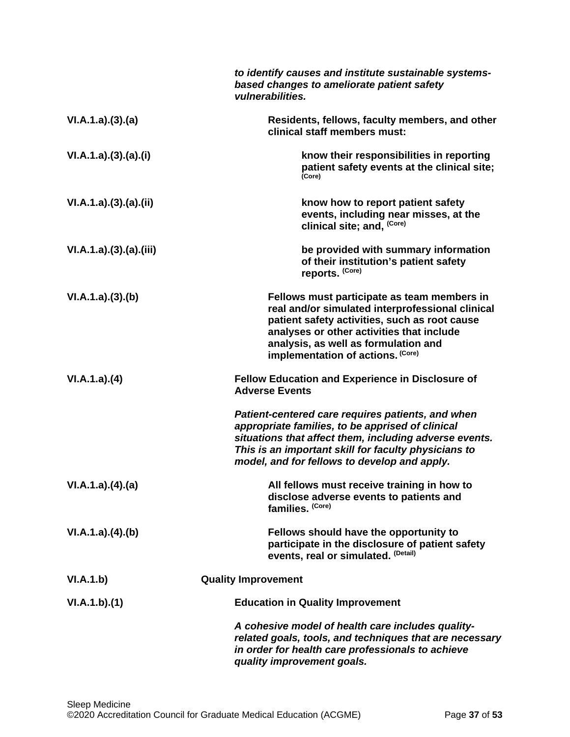|                      | to identify causes and institute sustainable systems-<br>based changes to ameliorate patient safety<br>vulnerabilities.                                                                                                                                                    |
|----------------------|----------------------------------------------------------------------------------------------------------------------------------------------------------------------------------------------------------------------------------------------------------------------------|
| VI.A.1.a)(3)(a)      | Residents, fellows, faculty members, and other<br>clinical staff members must:                                                                                                                                                                                             |
| VI.A.1.a)(3).(a).(i) | know their responsibilities in reporting<br>patient safety events at the clinical site;<br>(Core)                                                                                                                                                                          |
| VI.A.1.a)(3)(a)(ii)  | know how to report patient safety<br>events, including near misses, at the<br>clinical site; and, (Core)                                                                                                                                                                   |
| VI.A.1.a)(3)(a)(iii) | be provided with summary information<br>of their institution's patient safety<br>reports. (Core)                                                                                                                                                                           |
| VI.A.1.a)(3)(b)      | Fellows must participate as team members in<br>real and/or simulated interprofessional clinical<br>patient safety activities, such as root cause<br>analyses or other activities that include<br>analysis, as well as formulation and<br>implementation of actions. (Core) |
| VI.A.1.a)(4)         | <b>Fellow Education and Experience in Disclosure of</b><br><b>Adverse Events</b>                                                                                                                                                                                           |
|                      | Patient-centered care requires patients, and when<br>appropriate families, to be apprised of clinical<br>situations that affect them, including adverse events.<br>This is an important skill for faculty physicians to<br>model, and for fellows to develop and apply.    |
| VI.A.1.a)(4)(a)      | All fellows must receive training in how to<br>disclose adverse events to patients and<br>families. (Core)                                                                                                                                                                 |
| VI.A.1.a)(4)(b)      | Fellows should have the opportunity to<br>participate in the disclosure of patient safety<br>events, real or simulated. (Detail)                                                                                                                                           |
| VI.A.1.b)            | <b>Quality Improvement</b>                                                                                                                                                                                                                                                 |
| VI.A.1.b)(1)         | <b>Education in Quality Improvement</b>                                                                                                                                                                                                                                    |
|                      | A cohesive model of health care includes quality-<br>related goals, tools, and techniques that are necessary<br>in order for health care professionals to achieve<br>quality improvement goals.                                                                            |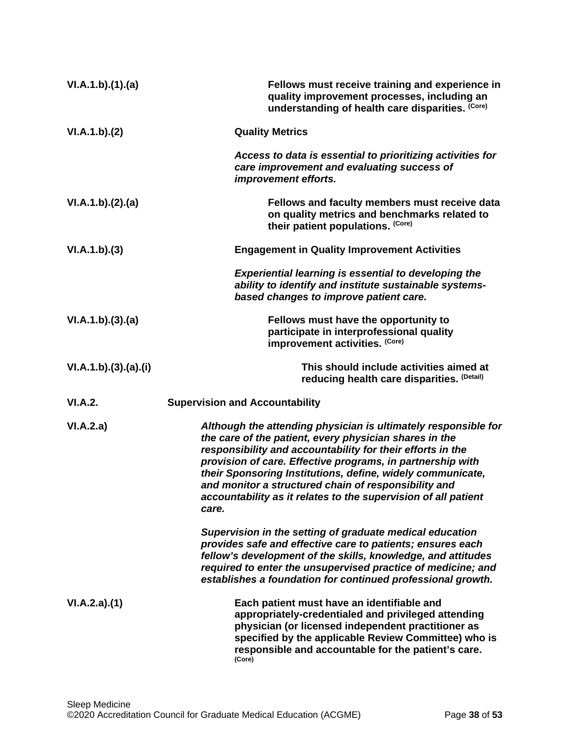| VI.A.1.b)(1)(a)      | Fellows must receive training and experience in<br>quality improvement processes, including an<br>understanding of health care disparities. (Core)                                                                                                                                                                                                                                                                                                    |
|----------------------|-------------------------------------------------------------------------------------------------------------------------------------------------------------------------------------------------------------------------------------------------------------------------------------------------------------------------------------------------------------------------------------------------------------------------------------------------------|
| VI.A.1.b)(2)         | <b>Quality Metrics</b>                                                                                                                                                                                                                                                                                                                                                                                                                                |
|                      | Access to data is essential to prioritizing activities for<br>care improvement and evaluating success of<br>improvement efforts.                                                                                                                                                                                                                                                                                                                      |
| VI.A.1.b)(2).(a)     | Fellows and faculty members must receive data<br>on quality metrics and benchmarks related to<br>their patient populations. (Core)                                                                                                                                                                                                                                                                                                                    |
| VI.A.1.b)(3)         | <b>Engagement in Quality Improvement Activities</b>                                                                                                                                                                                                                                                                                                                                                                                                   |
|                      | <b>Experiential learning is essential to developing the</b><br>ability to identify and institute sustainable systems-<br>based changes to improve patient care.                                                                                                                                                                                                                                                                                       |
| VI.A.1.b)(3).(a)     | Fellows must have the opportunity to<br>participate in interprofessional quality<br>improvement activities. (Core)                                                                                                                                                                                                                                                                                                                                    |
| VI.A.1.b)(3).(a).(i) | This should include activities aimed at<br>reducing health care disparities. (Detail)                                                                                                                                                                                                                                                                                                                                                                 |
| VI.A.2.              | <b>Supervision and Accountability</b>                                                                                                                                                                                                                                                                                                                                                                                                                 |
| VI.A.2.a)            | Although the attending physician is ultimately responsible for<br>the care of the patient, every physician shares in the<br>responsibility and accountability for their efforts in the<br>provision of care. Effective programs, in partnership with<br>their Sponsoring Institutions, define, widely communicate,<br>and monitor a structured chain of responsibility and<br>accountability as it relates to the supervision of all patient<br>care. |
|                      | Supervision in the setting of graduate medical education<br>provides safe and effective care to patients; ensures each<br>fellow's development of the skills, knowledge, and attitudes<br>required to enter the unsupervised practice of medicine; and<br>establishes a foundation for continued professional growth.                                                                                                                                 |
| VI.A.2.a)(1)         | Each patient must have an identifiable and<br>appropriately-credentialed and privileged attending<br>physician (or licensed independent practitioner as<br>specified by the applicable Review Committee) who is<br>responsible and accountable for the patient's care.<br>(Core)                                                                                                                                                                      |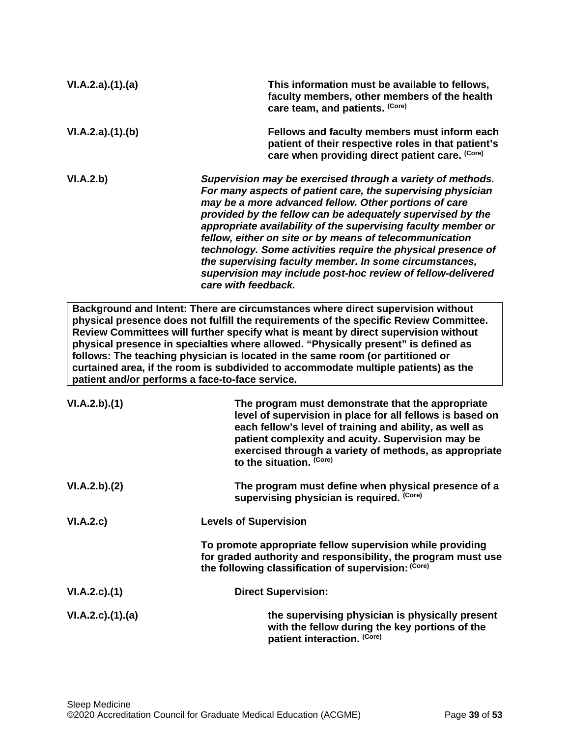| VI.A.2.a)(1).(a) | This information must be available to fellows,<br>faculty members, other members of the health<br>care team, and patients. (Core)                                                                                                                                                                                                                                                                                                                                                                                                                                                            |
|------------------|----------------------------------------------------------------------------------------------------------------------------------------------------------------------------------------------------------------------------------------------------------------------------------------------------------------------------------------------------------------------------------------------------------------------------------------------------------------------------------------------------------------------------------------------------------------------------------------------|
| VI.A.2.a)(1)(b)  | Fellows and faculty members must inform each<br>patient of their respective roles in that patient's<br>care when providing direct patient care. (Core)                                                                                                                                                                                                                                                                                                                                                                                                                                       |
| VI.A.2.b)        | Supervision may be exercised through a variety of methods.<br>For many aspects of patient care, the supervising physician<br>may be a more advanced fellow. Other portions of care<br>provided by the fellow can be adequately supervised by the<br>appropriate availability of the supervising faculty member or<br>fellow, either on site or by means of telecommunication<br>technology. Some activities require the physical presence of<br>the supervising faculty member. In some circumstances,<br>supervision may include post-hoc review of fellow-delivered<br>care with feedback. |

**Background and Intent: There are circumstances where direct supervision without physical presence does not fulfill the requirements of the specific Review Committee. Review Committees will further specify what is meant by direct supervision without physical presence in specialties where allowed. "Physically present" is defined as follows: The teaching physician is located in the same room (or partitioned or curtained area, if the room is subdivided to accommodate multiple patients) as the patient and/or performs a face-to-face service.**

| VI.A.2.b)(1)       | The program must demonstrate that the appropriate<br>level of supervision in place for all fellows is based on<br>each fellow's level of training and ability, as well as<br>patient complexity and acuity. Supervision may be<br>exercised through a variety of methods, as appropriate<br>to the situation. (Core) |
|--------------------|----------------------------------------------------------------------------------------------------------------------------------------------------------------------------------------------------------------------------------------------------------------------------------------------------------------------|
| VI.A.2.b)(2)       | The program must define when physical presence of a<br>supervising physician is required. (Core)                                                                                                                                                                                                                     |
| VI.A.2.c)          | <b>Levels of Supervision</b>                                                                                                                                                                                                                                                                                         |
|                    | To promote appropriate fellow supervision while providing<br>for graded authority and responsibility, the program must use<br>the following classification of supervision: (Core)                                                                                                                                    |
| $VI.A.2.c$ . $(1)$ | <b>Direct Supervision:</b>                                                                                                                                                                                                                                                                                           |
| VI.A.2.c)(1).(a)   | the supervising physician is physically present<br>with the fellow during the key portions of the<br>patient interaction. (Core)                                                                                                                                                                                     |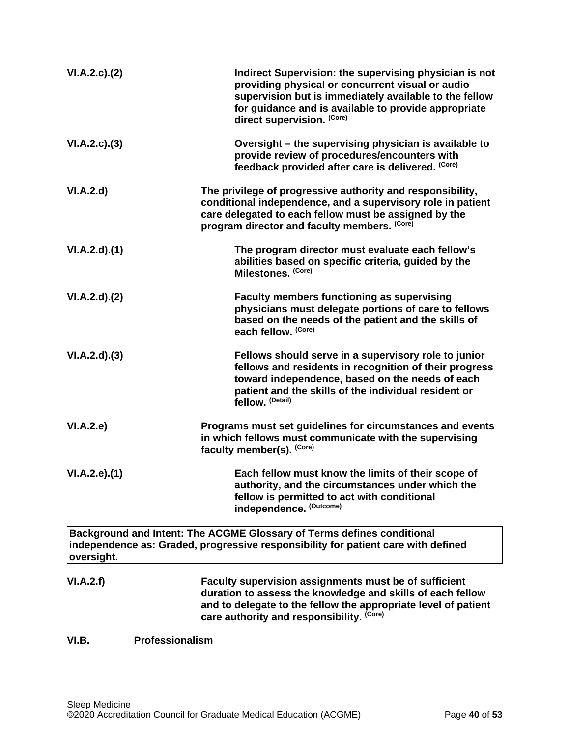| VI.A.2.c.2()  | Indirect Supervision: the supervising physician is not<br>providing physical or concurrent visual or audio<br>supervision but is immediately available to the fellow<br>for guidance and is available to provide appropriate<br>direct supervision. (Core) |
|---------------|------------------------------------------------------------------------------------------------------------------------------------------------------------------------------------------------------------------------------------------------------------|
| VI.A.2.c.(3)  | Oversight – the supervising physician is available to<br>provide review of procedures/encounters with<br>feedback provided after care is delivered. (Core)                                                                                                 |
| VI.A.2.d      | The privilege of progressive authority and responsibility,<br>conditional independence, and a supervisory role in patient<br>care delegated to each fellow must be assigned by the<br>program director and faculty members. (Core)                         |
| VI.A.2.d)(1)  | The program director must evaluate each fellow's<br>abilities based on specific criteria, guided by the<br>Milestones. (Core)                                                                                                                              |
| VI.A.2.d)(2)  | <b>Faculty members functioning as supervising</b><br>physicians must delegate portions of care to fellows<br>based on the needs of the patient and the skills of<br>each fellow. (Core)                                                                    |
| VI.A.2.d)(3)  | Fellows should serve in a supervisory role to junior<br>fellows and residents in recognition of their progress<br>toward independence, based on the needs of each<br>patient and the skills of the individual resident or<br>fellow. (Detail)              |
| VI.A.2.e      | Programs must set guidelines for circumstances and events<br>in which fellows must communicate with the supervising<br>faculty member(s). (Core)                                                                                                           |
| VI.A.2.e).(1) | Each fellow must know the limits of their scope of<br>authority, and the circumstances under which the<br>fellow is permitted to act with conditional<br>independence. (Outcome)                                                                           |
| oversight.    | Background and Intent: The ACGME Glossary of Terms defines conditional<br>independence as: Graded, progressive responsibility for patient care with defined                                                                                                |
| VI.A.2.f)     | Faculty supervision assignments must be of sufficient<br>duration to assess the knowledge and skills of each fellow<br>and to delegate to the fellow the appropriate level of patient<br>care authority and responsibility. (Core)                         |

# <span id="page-39-0"></span>**VI.B. Professionalism**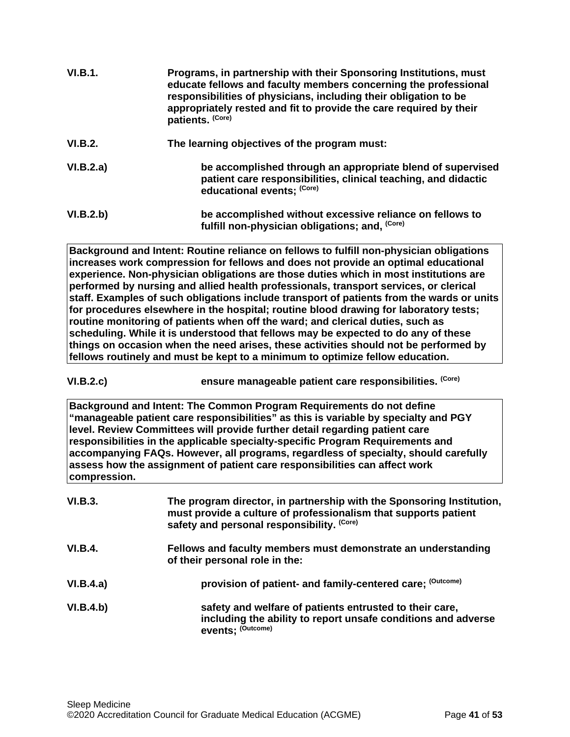| VI.B.1.   | Programs, in partnership with their Sponsoring Institutions, must<br>educate fellows and faculty members concerning the professional<br>responsibilities of physicians, including their obligation to be<br>appropriately rested and fit to provide the care required by their<br>patients. (Core) |
|-----------|----------------------------------------------------------------------------------------------------------------------------------------------------------------------------------------------------------------------------------------------------------------------------------------------------|
| VI.B.2.   | The learning objectives of the program must:                                                                                                                                                                                                                                                       |
| VI.B.2.a) | be accomplished through an appropriate blend of supervised<br>patient care responsibilities, clinical teaching, and didactic<br>educational events; (Core)                                                                                                                                         |
| VI.B.2.b) | be accomplished without excessive reliance on fellows to<br>fulfill non-physician obligations; and, (Core)                                                                                                                                                                                         |

**Background and Intent: Routine reliance on fellows to fulfill non-physician obligations increases work compression for fellows and does not provide an optimal educational experience. Non-physician obligations are those duties which in most institutions are performed by nursing and allied health professionals, transport services, or clerical staff. Examples of such obligations include transport of patients from the wards or units for procedures elsewhere in the hospital; routine blood drawing for laboratory tests; routine monitoring of patients when off the ward; and clerical duties, such as scheduling. While it is understood that fellows may be expected to do any of these things on occasion when the need arises, these activities should not be performed by fellows routinely and must be kept to a minimum to optimize fellow education.**

**VI.B.2.c) ensure manageable patient care responsibilities. (Core)**

**Background and Intent: The Common Program Requirements do not define "manageable patient care responsibilities" as this is variable by specialty and PGY level. Review Committees will provide further detail regarding patient care responsibilities in the applicable specialty-specific Program Requirements and accompanying FAQs. However, all programs, regardless of specialty, should carefully assess how the assignment of patient care responsibilities can affect work compression.**

| VI.B.3.        | The program director, in partnership with the Sponsoring Institution,<br>must provide a culture of professionalism that supports patient<br>safety and personal responsibility. (Core) |
|----------------|----------------------------------------------------------------------------------------------------------------------------------------------------------------------------------------|
| <b>VI.B.4.</b> | Fellows and faculty members must demonstrate an understanding<br>of their personal role in the:                                                                                        |
| VI.B.4.a)      | provision of patient- and family-centered care; (Outcome)                                                                                                                              |
| VI.B.4.b)      | safety and welfare of patients entrusted to their care,<br>including the ability to report unsafe conditions and adverse<br>events; (Outcome)                                          |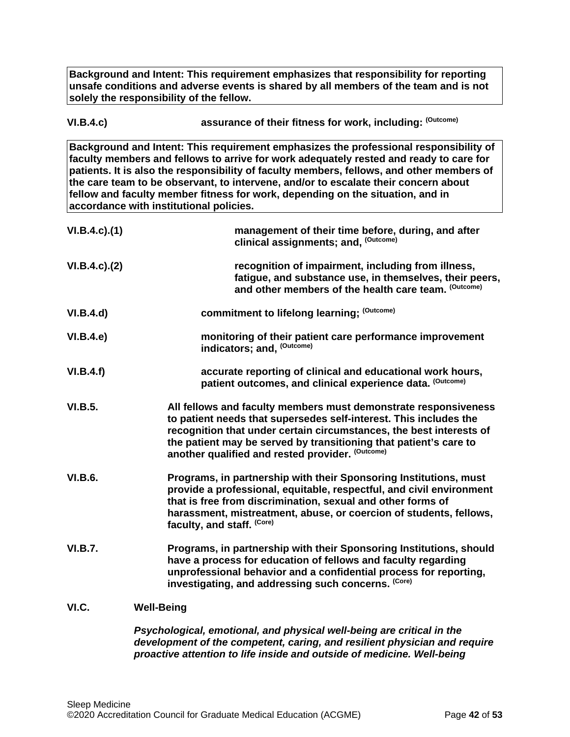**Background and Intent: This requirement emphasizes that responsibility for reporting unsafe conditions and adverse events is shared by all members of the team and is not solely the responsibility of the fellow.**

| VI.B.4.c) | assurance of their fitness for work, including: (Outcome) |
|-----------|-----------------------------------------------------------|
|-----------|-----------------------------------------------------------|

**Background and Intent: This requirement emphasizes the professional responsibility of faculty members and fellows to arrive for work adequately rested and ready to care for patients. It is also the responsibility of faculty members, fellows, and other members of the care team to be observant, to intervene, and/or to escalate their concern about fellow and faculty member fitness for work, depending on the situation, and in accordance with institutional policies.**

| $VI.B.4.c$ ). $(1)$ | management of their time before, during, and after<br>clinical assignments; and, (Outcome)                                                                                                                                                                                                                                           |
|---------------------|--------------------------------------------------------------------------------------------------------------------------------------------------------------------------------------------------------------------------------------------------------------------------------------------------------------------------------------|
| $VI.B.4.c$ ). $(2)$ | recognition of impairment, including from illness,<br>fatigue, and substance use, in themselves, their peers,<br>and other members of the health care team. (Outcome)                                                                                                                                                                |
| VI.B.4.d)           | commitment to lifelong learning; (Outcome)                                                                                                                                                                                                                                                                                           |
| VI.B.4.e            | monitoring of their patient care performance improvement<br>indicators; and, (Outcome)                                                                                                                                                                                                                                               |
| VI.B.4.f)           | accurate reporting of clinical and educational work hours,<br>patient outcomes, and clinical experience data. (Outcome)                                                                                                                                                                                                              |
| <b>VI.B.5.</b>      | All fellows and faculty members must demonstrate responsiveness<br>to patient needs that supersedes self-interest. This includes the<br>recognition that under certain circumstances, the best interests of<br>the patient may be served by transitioning that patient's care to<br>another qualified and rested provider. (Outcome) |
| <b>VI.B.6.</b>      | Programs, in partnership with their Sponsoring Institutions, must<br>provide a professional, equitable, respectful, and civil environment<br>that is free from discrimination, sexual and other forms of<br>harassment, mistreatment, abuse, or coercion of students, fellows,<br>faculty, and staff. (Core)                         |
| <b>VI.B.7.</b>      | Programs, in partnership with their Sponsoring Institutions, should<br>have a process for education of fellows and faculty regarding<br>unprofessional behavior and a confidential process for reporting,<br>investigating, and addressing such concerns. (Core)                                                                     |
| VI.C.               | <b>Well-Being</b>                                                                                                                                                                                                                                                                                                                    |

<span id="page-41-0"></span>*Psychological, emotional, and physical well-being are critical in the development of the competent, caring, and resilient physician and require proactive attention to life inside and outside of medicine. Well-being*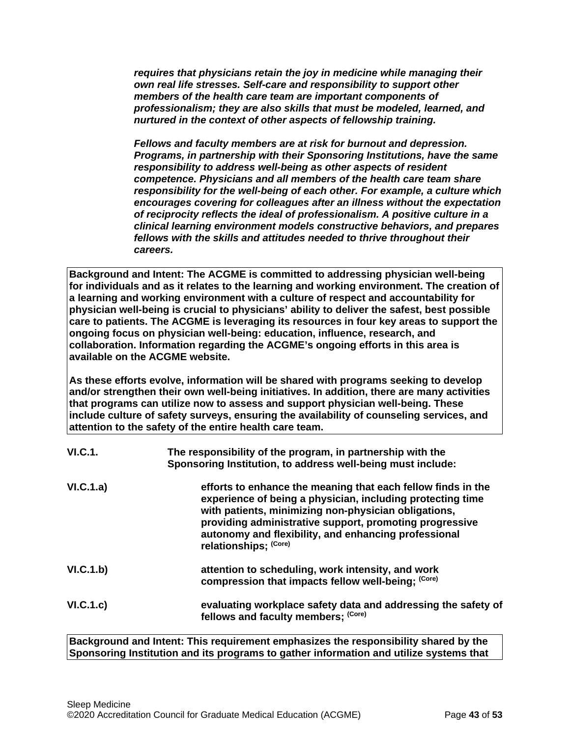*requires that physicians retain the joy in medicine while managing their own real life stresses. Self-care and responsibility to support other members of the health care team are important components of professionalism; they are also skills that must be modeled, learned, and nurtured in the context of other aspects of fellowship training.*

*Fellows and faculty members are at risk for burnout and depression. Programs, in partnership with their Sponsoring Institutions, have the same responsibility to address well-being as other aspects of resident competence. Physicians and all members of the health care team share responsibility for the well-being of each other. For example, a culture which encourages covering for colleagues after an illness without the expectation of reciprocity reflects the ideal of professionalism. A positive culture in a clinical learning environment models constructive behaviors, and prepares fellows with the skills and attitudes needed to thrive throughout their careers.*

**Background and Intent: The ACGME is committed to addressing physician well-being for individuals and as it relates to the learning and working environment. The creation of a learning and working environment with a culture of respect and accountability for physician well-being is crucial to physicians' ability to deliver the safest, best possible care to patients. The ACGME is leveraging its resources in four key areas to support the ongoing focus on physician well-being: education, influence, research, and collaboration. Information regarding the ACGME's ongoing efforts in this area is available on the ACGME website.**

**As these efforts evolve, information will be shared with programs seeking to develop and/or strengthen their own well-being initiatives. In addition, there are many activities that programs can utilize now to assess and support physician well-being. These include culture of safety surveys, ensuring the availability of counseling services, and attention to the safety of the entire health care team.**

| VI.C.1.   | The responsibility of the program, in partnership with the<br>Sponsoring Institution, to address well-being must include:                                                                                                                                                                                                      |
|-----------|--------------------------------------------------------------------------------------------------------------------------------------------------------------------------------------------------------------------------------------------------------------------------------------------------------------------------------|
| VI.C.1.a) | efforts to enhance the meaning that each fellow finds in the<br>experience of being a physician, including protecting time<br>with patients, minimizing non-physician obligations,<br>providing administrative support, promoting progressive<br>autonomy and flexibility, and enhancing professional<br>relationships; (Core) |
| VI.C.1.b) | attention to scheduling, work intensity, and work<br>compression that impacts fellow well-being; (Core)                                                                                                                                                                                                                        |
| VI.C.1.c) | evaluating workplace safety data and addressing the safety of<br>fellows and faculty members; (Core)                                                                                                                                                                                                                           |

**Background and Intent: This requirement emphasizes the responsibility shared by the Sponsoring Institution and its programs to gather information and utilize systems that**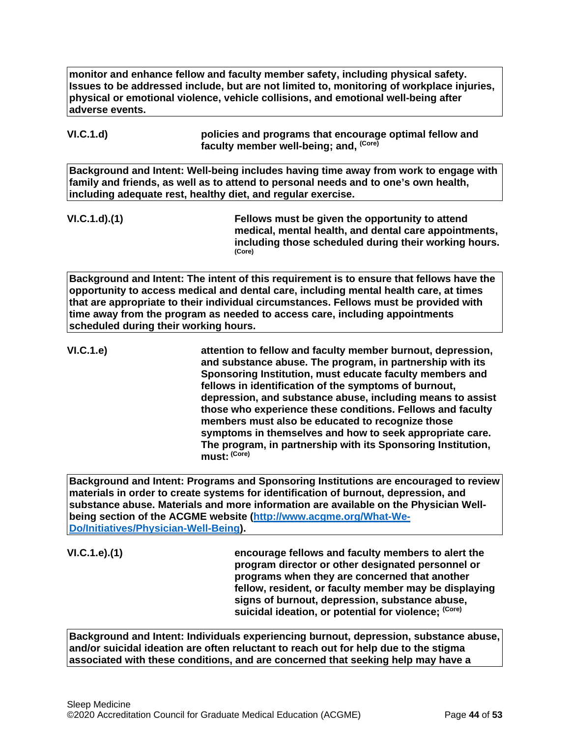**monitor and enhance fellow and faculty member safety, including physical safety. Issues to be addressed include, but are not limited to, monitoring of workplace injuries, physical or emotional violence, vehicle collisions, and emotional well-being after adverse events.**

**VI.C.1.d) policies and programs that encourage optimal fellow and faculty member well-being; and, (Core)**

**Background and Intent: Well-being includes having time away from work to engage with family and friends, as well as to attend to personal needs and to one's own health, including adequate rest, healthy diet, and regular exercise.**

**VI.C.1.d).(1) Fellows must be given the opportunity to attend medical, mental health, and dental care appointments, including those scheduled during their working hours. (Core)**

**Background and Intent: The intent of this requirement is to ensure that fellows have the opportunity to access medical and dental care, including mental health care, at times that are appropriate to their individual circumstances. Fellows must be provided with time away from the program as needed to access care, including appointments scheduled during their working hours.**

**VI.C.1.e) attention to fellow and faculty member burnout, depression, and substance abuse. The program, in partnership with its Sponsoring Institution, must educate faculty members and fellows in identification of the symptoms of burnout, depression, and substance abuse, including means to assist those who experience these conditions. Fellows and faculty members must also be educated to recognize those symptoms in themselves and how to seek appropriate care. The program, in partnership with its Sponsoring Institution, must: (Core)**

**Background and Intent: Programs and Sponsoring Institutions are encouraged to review materials in order to create systems for identification of burnout, depression, and substance abuse. Materials and more information are available on the Physician Wellbeing section of the ACGME website [\(http://www.acgme.org/What-We-](http://www.acgme.org/What-We-Do/Initiatives/Physician-Well-Being)[Do/Initiatives/Physician-Well-Being\)](http://www.acgme.org/What-We-Do/Initiatives/Physician-Well-Being).**

**VI.C.1.e).(1) encourage fellows and faculty members to alert the program director or other designated personnel or programs when they are concerned that another fellow, resident, or faculty member may be displaying signs of burnout, depression, substance abuse, suicidal ideation, or potential for violence; (Core)**

**Background and Intent: Individuals experiencing burnout, depression, substance abuse, and/or suicidal ideation are often reluctant to reach out for help due to the stigma associated with these conditions, and are concerned that seeking help may have a**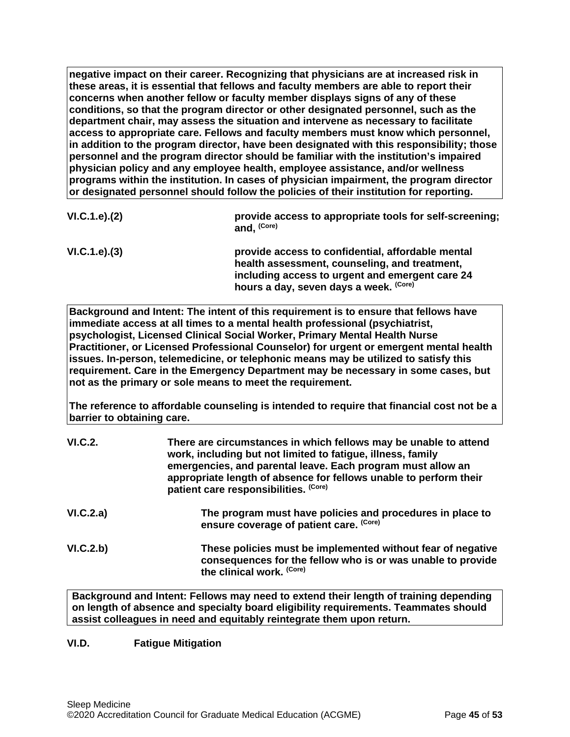**negative impact on their career. Recognizing that physicians are at increased risk in these areas, it is essential that fellows and faculty members are able to report their concerns when another fellow or faculty member displays signs of any of these conditions, so that the program director or other designated personnel, such as the department chair, may assess the situation and intervene as necessary to facilitate access to appropriate care. Fellows and faculty members must know which personnel, in addition to the program director, have been designated with this responsibility; those personnel and the program director should be familiar with the institution's impaired physician policy and any employee health, employee assistance, and/or wellness programs within the institution. In cases of physician impairment, the program director or designated personnel should follow the policies of their institution for reporting.**

| VI.C.1.e). (2) | provide access to appropriate tools for self-screening;<br>and, (Core)                                                                                                                          |
|----------------|-------------------------------------------------------------------------------------------------------------------------------------------------------------------------------------------------|
| VI.C.1.e). (3) | provide access to confidential, affordable mental<br>health assessment, counseling, and treatment,<br>including access to urgent and emergent care 24<br>hours a day, seven days a week. (Core) |

**Background and Intent: The intent of this requirement is to ensure that fellows have immediate access at all times to a mental health professional (psychiatrist, psychologist, Licensed Clinical Social Worker, Primary Mental Health Nurse Practitioner, or Licensed Professional Counselor) for urgent or emergent mental health issues. In-person, telemedicine, or telephonic means may be utilized to satisfy this requirement. Care in the Emergency Department may be necessary in some cases, but not as the primary or sole means to meet the requirement.**

**The reference to affordable counseling is intended to require that financial cost not be a barrier to obtaining care.**

| <b>VI.C.2.</b> | There are circumstances in which fellows may be unable to attend<br>work, including but not limited to fatigue, illness, family<br>emergencies, and parental leave. Each program must allow an<br>appropriate length of absence for fellows unable to perform their<br>patient care responsibilities. (Core) |
|----------------|--------------------------------------------------------------------------------------------------------------------------------------------------------------------------------------------------------------------------------------------------------------------------------------------------------------|
| VI.C.2.a)      | The program must have policies and procedures in place to<br>ensure coverage of patient care. (Core)                                                                                                                                                                                                         |
| VI.C.2.b)      | These policies must be implemented without fear of negative<br>consequences for the fellow who is or was unable to provide<br>the clinical work. (Core)                                                                                                                                                      |

**Background and Intent: Fellows may need to extend their length of training depending on length of absence and specialty board eligibility requirements. Teammates should assist colleagues in need and equitably reintegrate them upon return.**

## <span id="page-44-0"></span>**VI.D. Fatigue Mitigation**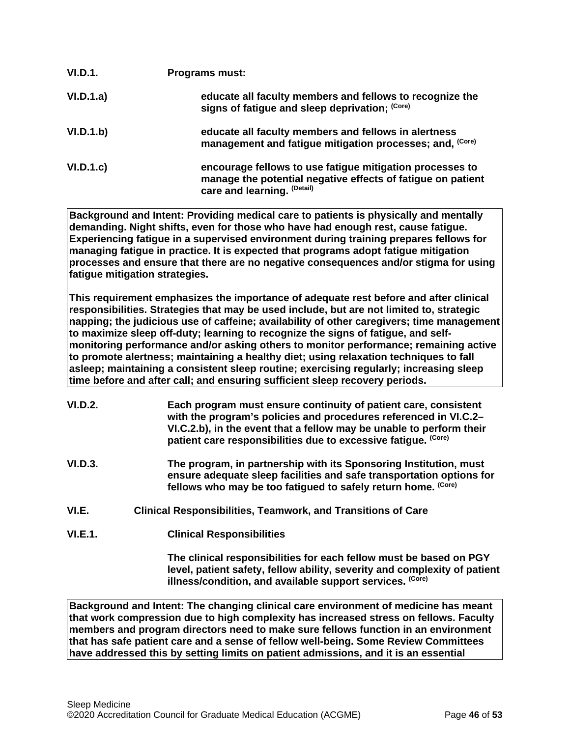| VI.D.1.   | <b>Programs must:</b>                                                                                                                                  |
|-----------|--------------------------------------------------------------------------------------------------------------------------------------------------------|
| VI.D.1.a) | educate all faculty members and fellows to recognize the<br>signs of fatigue and sleep deprivation; (Core)                                             |
| VI.D.1.b) | educate all faculty members and fellows in alertness<br>management and fatigue mitigation processes; and, (Core)                                       |
| VI.D.1.c  | encourage fellows to use fatigue mitigation processes to<br>manage the potential negative effects of fatigue on patient<br>care and learning. (Detail) |

**Background and Intent: Providing medical care to patients is physically and mentally demanding. Night shifts, even for those who have had enough rest, cause fatigue. Experiencing fatigue in a supervised environment during training prepares fellows for managing fatigue in practice. It is expected that programs adopt fatigue mitigation processes and ensure that there are no negative consequences and/or stigma for using fatigue mitigation strategies.**

**This requirement emphasizes the importance of adequate rest before and after clinical responsibilities. Strategies that may be used include, but are not limited to, strategic napping; the judicious use of caffeine; availability of other caregivers; time management to maximize sleep off-duty; learning to recognize the signs of fatigue, and selfmonitoring performance and/or asking others to monitor performance; remaining active to promote alertness; maintaining a healthy diet; using relaxation techniques to fall asleep; maintaining a consistent sleep routine; exercising regularly; increasing sleep time before and after call; and ensuring sufficient sleep recovery periods.**

- **VI.D.2. Each program must ensure continuity of patient care, consistent with the program's policies and procedures referenced in VI.C.2– VI.C.2.b), in the event that a fellow may be unable to perform their patient care responsibilities due to excessive fatigue. (Core)**
- **VI.D.3. The program, in partnership with its Sponsoring Institution, must ensure adequate sleep facilities and safe transportation options for fellows who may be too fatigued to safely return home. (Core)**
- <span id="page-45-0"></span>**VI.E. Clinical Responsibilities, Teamwork, and Transitions of Care**
- **VI.E.1. Clinical Responsibilities**

**The clinical responsibilities for each fellow must be based on PGY level, patient safety, fellow ability, severity and complexity of patient illness/condition, and available support services. (Core)**

**Background and Intent: The changing clinical care environment of medicine has meant that work compression due to high complexity has increased stress on fellows. Faculty members and program directors need to make sure fellows function in an environment that has safe patient care and a sense of fellow well-being. Some Review Committees have addressed this by setting limits on patient admissions, and it is an essential**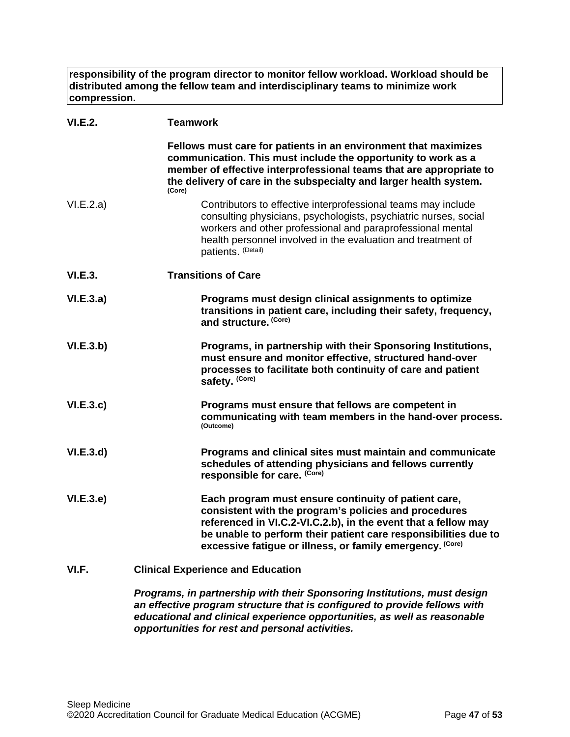**responsibility of the program director to monitor fellow workload. Workload should be distributed among the fellow team and interdisciplinary teams to minimize work compression.**

| <b>VI.E.2.</b> | <b>Teamwork</b>                                                                                                                                                                                                                                                                                                 |
|----------------|-----------------------------------------------------------------------------------------------------------------------------------------------------------------------------------------------------------------------------------------------------------------------------------------------------------------|
|                | Fellows must care for patients in an environment that maximizes<br>communication. This must include the opportunity to work as a<br>member of effective interprofessional teams that are appropriate to<br>the delivery of care in the subspecialty and larger health system.<br>(Core)                         |
| VI.E.2.a)      | Contributors to effective interprofessional teams may include<br>consulting physicians, psychologists, psychiatric nurses, social<br>workers and other professional and paraprofessional mental<br>health personnel involved in the evaluation and treatment of<br>patients. (Detail)                           |
| VI.E.3.        | <b>Transitions of Care</b>                                                                                                                                                                                                                                                                                      |
| VI.E.3.a)      | Programs must design clinical assignments to optimize<br>transitions in patient care, including their safety, frequency,<br>and structure. (Core)                                                                                                                                                               |
| VI.E.3.b)      | Programs, in partnership with their Sponsoring Institutions,<br>must ensure and monitor effective, structured hand-over<br>processes to facilitate both continuity of care and patient<br>safety. (Core)                                                                                                        |
| VI.E.3.c       | Programs must ensure that fellows are competent in<br>communicating with team members in the hand-over process.<br>(Outcome)                                                                                                                                                                                    |
| VI.E.3.d       | Programs and clinical sites must maintain and communicate<br>schedules of attending physicians and fellows currently<br>responsible for care. (Core)                                                                                                                                                            |
| VI.E.3.e       | Each program must ensure continuity of patient care,<br>consistent with the program's policies and procedures<br>referenced in VI.C.2-VI.C.2.b), in the event that a fellow may<br>be unable to perform their patient care responsibilities due to<br>excessive fatigue or illness, or family emergency. (Core) |
| VI.F.          | <b>Clinical Experience and Education</b>                                                                                                                                                                                                                                                                        |

<span id="page-46-0"></span>*Programs, in partnership with their Sponsoring Institutions, must design an effective program structure that is configured to provide fellows with educational and clinical experience opportunities, as well as reasonable opportunities for rest and personal activities.*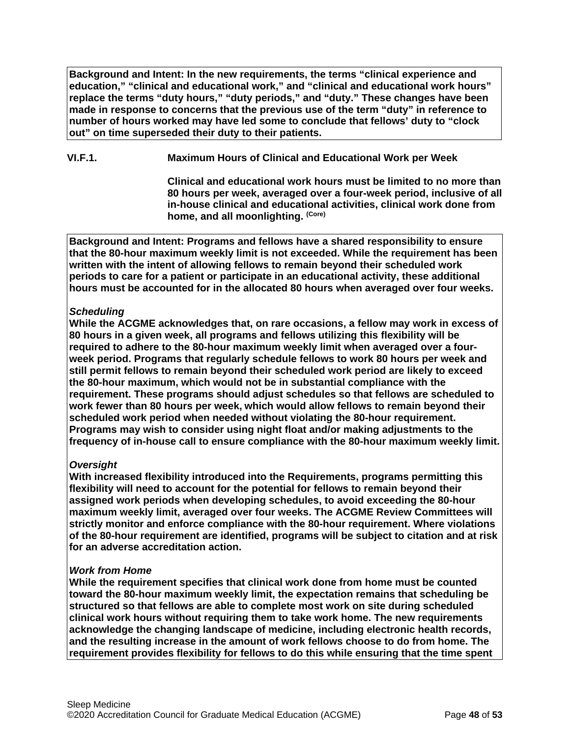**Background and Intent: In the new requirements, the terms "clinical experience and education," "clinical and educational work," and "clinical and educational work hours" replace the terms "duty hours," "duty periods," and "duty." These changes have been made in response to concerns that the previous use of the term "duty" in reference to number of hours worked may have led some to conclude that fellows' duty to "clock out" on time superseded their duty to their patients.**

**VI.F.1. Maximum Hours of Clinical and Educational Work per Week**

**Clinical and educational work hours must be limited to no more than 80 hours per week, averaged over a four-week period, inclusive of all in-house clinical and educational activities, clinical work done from home, and all moonlighting. (Core)**

**Background and Intent: Programs and fellows have a shared responsibility to ensure that the 80-hour maximum weekly limit is not exceeded. While the requirement has been written with the intent of allowing fellows to remain beyond their scheduled work periods to care for a patient or participate in an educational activity, these additional hours must be accounted for in the allocated 80 hours when averaged over four weeks.**

## *Scheduling*

**While the ACGME acknowledges that, on rare occasions, a fellow may work in excess of 80 hours in a given week, all programs and fellows utilizing this flexibility will be required to adhere to the 80-hour maximum weekly limit when averaged over a fourweek period. Programs that regularly schedule fellows to work 80 hours per week and still permit fellows to remain beyond their scheduled work period are likely to exceed the 80-hour maximum, which would not be in substantial compliance with the requirement. These programs should adjust schedules so that fellows are scheduled to work fewer than 80 hours per week, which would allow fellows to remain beyond their scheduled work period when needed without violating the 80-hour requirement. Programs may wish to consider using night float and/or making adjustments to the frequency of in-house call to ensure compliance with the 80-hour maximum weekly limit.**

## *Oversight*

**With increased flexibility introduced into the Requirements, programs permitting this flexibility will need to account for the potential for fellows to remain beyond their assigned work periods when developing schedules, to avoid exceeding the 80-hour maximum weekly limit, averaged over four weeks. The ACGME Review Committees will strictly monitor and enforce compliance with the 80-hour requirement. Where violations of the 80-hour requirement are identified, programs will be subject to citation and at risk for an adverse accreditation action.**

## *Work from Home*

**While the requirement specifies that clinical work done from home must be counted toward the 80-hour maximum weekly limit, the expectation remains that scheduling be structured so that fellows are able to complete most work on site during scheduled clinical work hours without requiring them to take work home. The new requirements acknowledge the changing landscape of medicine, including electronic health records, and the resulting increase in the amount of work fellows choose to do from home. The requirement provides flexibility for fellows to do this while ensuring that the time spent**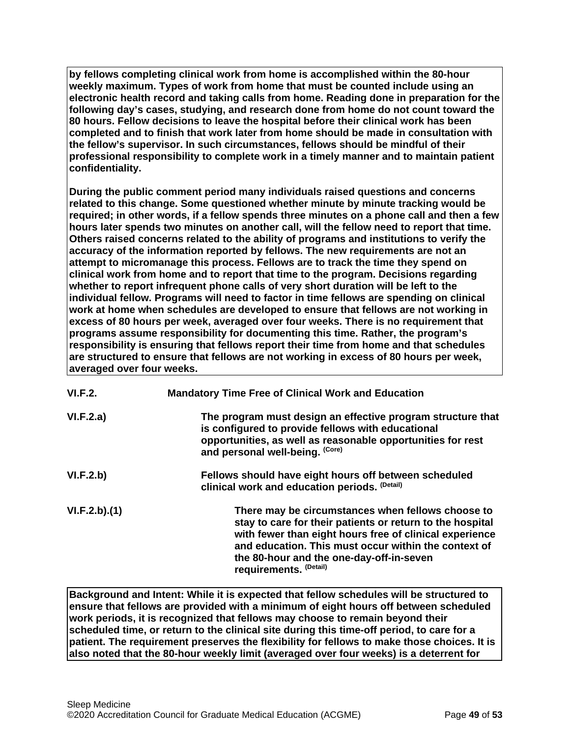**by fellows completing clinical work from home is accomplished within the 80-hour weekly maximum. Types of work from home that must be counted include using an electronic health record and taking calls from home. Reading done in preparation for the following day's cases, studying, and research done from home do not count toward the 80 hours. Fellow decisions to leave the hospital before their clinical work has been completed and to finish that work later from home should be made in consultation with the fellow's supervisor. In such circumstances, fellows should be mindful of their professional responsibility to complete work in a timely manner and to maintain patient confidentiality.**

**During the public comment period many individuals raised questions and concerns related to this change. Some questioned whether minute by minute tracking would be required; in other words, if a fellow spends three minutes on a phone call and then a few hours later spends two minutes on another call, will the fellow need to report that time. Others raised concerns related to the ability of programs and institutions to verify the accuracy of the information reported by fellows. The new requirements are not an attempt to micromanage this process. Fellows are to track the time they spend on clinical work from home and to report that time to the program. Decisions regarding whether to report infrequent phone calls of very short duration will be left to the individual fellow. Programs will need to factor in time fellows are spending on clinical work at home when schedules are developed to ensure that fellows are not working in excess of 80 hours per week, averaged over four weeks. There is no requirement that programs assume responsibility for documenting this time. Rather, the program's responsibility is ensuring that fellows report their time from home and that schedules are structured to ensure that fellows are not working in excess of 80 hours per week, averaged over four weeks.**

| VI.F.2.      | <b>Mandatory Time Free of Clinical Work and Education</b>                                                                                                                                                                                                                                               |
|--------------|---------------------------------------------------------------------------------------------------------------------------------------------------------------------------------------------------------------------------------------------------------------------------------------------------------|
| VI.F.2.a)    | The program must design an effective program structure that<br>is configured to provide fellows with educational<br>opportunities, as well as reasonable opportunities for rest<br>and personal well-being. (Core)                                                                                      |
| VI.F.2.b)    | Fellows should have eight hours off between scheduled<br>clinical work and education periods. (Detail)                                                                                                                                                                                                  |
| VI.F.2.b)(1) | There may be circumstances when fellows choose to<br>stay to care for their patients or return to the hospital<br>with fewer than eight hours free of clinical experience<br>and education. This must occur within the context of<br>the 80-hour and the one-day-off-in-seven<br>requirements. (Detail) |

**Background and Intent: While it is expected that fellow schedules will be structured to ensure that fellows are provided with a minimum of eight hours off between scheduled work periods, it is recognized that fellows may choose to remain beyond their scheduled time, or return to the clinical site during this time-off period, to care for a patient. The requirement preserves the flexibility for fellows to make those choices. It is also noted that the 80-hour weekly limit (averaged over four weeks) is a deterrent for**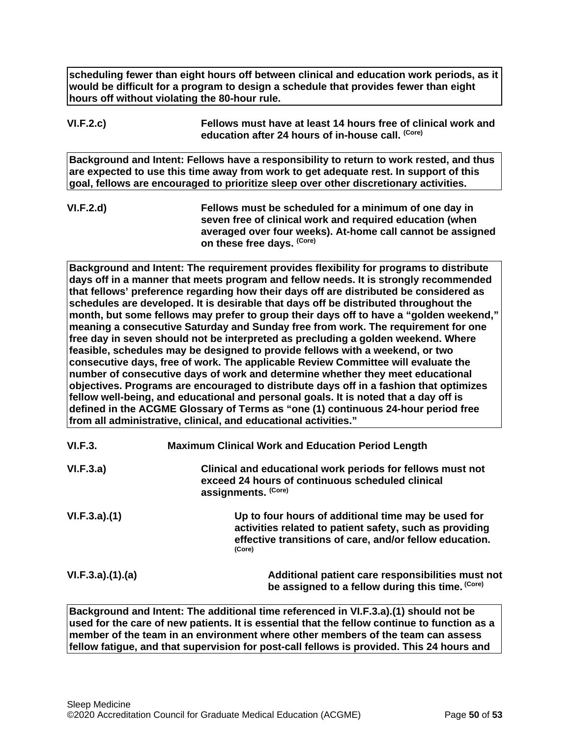**scheduling fewer than eight hours off between clinical and education work periods, as it would be difficult for a program to design a schedule that provides fewer than eight hours off without violating the 80-hour rule.**

## **VI.F.2.c) Fellows must have at least 14 hours free of clinical work and education after 24 hours of in-house call. (Core)**

**Background and Intent: Fellows have a responsibility to return to work rested, and thus are expected to use this time away from work to get adequate rest. In support of this goal, fellows are encouraged to prioritize sleep over other discretionary activities.**

**VI.F.2.d) Fellows must be scheduled for a minimum of one day in seven free of clinical work and required education (when averaged over four weeks). At-home call cannot be assigned on these free days. (Core)**

**Background and Intent: The requirement provides flexibility for programs to distribute days off in a manner that meets program and fellow needs. It is strongly recommended that fellows' preference regarding how their days off are distributed be considered as schedules are developed. It is desirable that days off be distributed throughout the month, but some fellows may prefer to group their days off to have a "golden weekend," meaning a consecutive Saturday and Sunday free from work. The requirement for one free day in seven should not be interpreted as precluding a golden weekend. Where feasible, schedules may be designed to provide fellows with a weekend, or two consecutive days, free of work. The applicable Review Committee will evaluate the number of consecutive days of work and determine whether they meet educational objectives. Programs are encouraged to distribute days off in a fashion that optimizes fellow well-being, and educational and personal goals. It is noted that a day off is defined in the ACGME Glossary of Terms as "one (1) continuous 24-hour period free from all administrative, clinical, and educational activities."**

| VI.F.3.         | <b>Maximum Clinical Work and Education Period Length</b>                                                                                                                            |
|-----------------|-------------------------------------------------------------------------------------------------------------------------------------------------------------------------------------|
| VI.F.3.a)       | Clinical and educational work periods for fellows must not<br>exceed 24 hours of continuous scheduled clinical<br>assignments. (Core)                                               |
| VI.F.3.a)(1)    | Up to four hours of additional time may be used for<br>activities related to patient safety, such as providing<br>effective transitions of care, and/or fellow education.<br>(Core) |
| VI.F.3.a)(1)(a) | Additional patient care responsibilities must not<br>be assigned to a fellow during this time. (Core)                                                                               |

**Background and Intent: The additional time referenced in VI.F.3.a).(1) should not be used for the care of new patients. It is essential that the fellow continue to function as a member of the team in an environment where other members of the team can assess fellow fatigue, and that supervision for post-call fellows is provided. This 24 hours and**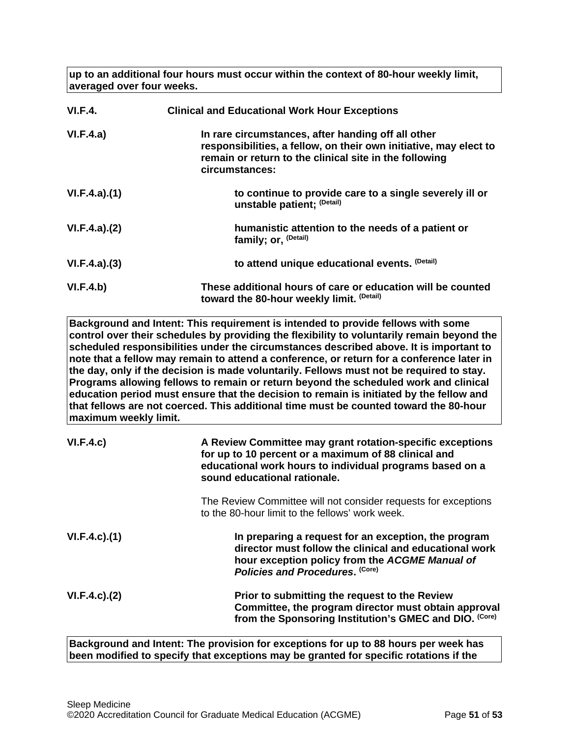**up to an additional four hours must occur within the context of 80-hour weekly limit, averaged over four weeks.**

| VI.F.4.      | <b>Clinical and Educational Work Hour Exceptions</b>                                                                                                                                                |
|--------------|-----------------------------------------------------------------------------------------------------------------------------------------------------------------------------------------------------|
| VI.F.4.a)    | In rare circumstances, after handing off all other<br>responsibilities, a fellow, on their own initiative, may elect to<br>remain or return to the clinical site in the following<br>circumstances: |
| VI.F.4.a)(1) | to continue to provide care to a single severely ill or<br>unstable patient; (Detail)                                                                                                               |
| VI.F.4.a)(2) | humanistic attention to the needs of a patient or<br>family; or, <sup>(Detail)</sup>                                                                                                                |
| VI.F.4.a)(3) | to attend unique educational events. (Detail)                                                                                                                                                       |
| VI.F.4.b)    | These additional hours of care or education will be counted<br>toward the 80-hour weekly limit. (Detail)                                                                                            |

**Background and Intent: This requirement is intended to provide fellows with some control over their schedules by providing the flexibility to voluntarily remain beyond the scheduled responsibilities under the circumstances described above. It is important to note that a fellow may remain to attend a conference, or return for a conference later in the day, only if the decision is made voluntarily. Fellows must not be required to stay. Programs allowing fellows to remain or return beyond the scheduled work and clinical education period must ensure that the decision to remain is initiated by the fellow and that fellows are not coerced. This additional time must be counted toward the 80-hour maximum weekly limit.**

| VI.F.4.c)           | A Review Committee may grant rotation-specific exceptions<br>for up to 10 percent or a maximum of 88 clinical and<br>educational work hours to individual programs based on a<br>sound educational rationale. |
|---------------------|---------------------------------------------------------------------------------------------------------------------------------------------------------------------------------------------------------------|
|                     | The Review Committee will not consider requests for exceptions<br>to the 80-hour limit to the fellows' work week.                                                                                             |
| $VI.F.4.c$ . $(1)$  | In preparing a request for an exception, the program<br>director must follow the clinical and educational work<br>hour exception policy from the ACGME Manual of<br>Policies and Procedures. (Core)           |
| $VI.F.4.c$ ). $(2)$ | Prior to submitting the request to the Review<br>Committee, the program director must obtain approval<br>from the Sponsoring Institution's GMEC and DIO. (Core)                                               |

**Background and Intent: The provision for exceptions for up to 88 hours per week has been modified to specify that exceptions may be granted for specific rotations if the**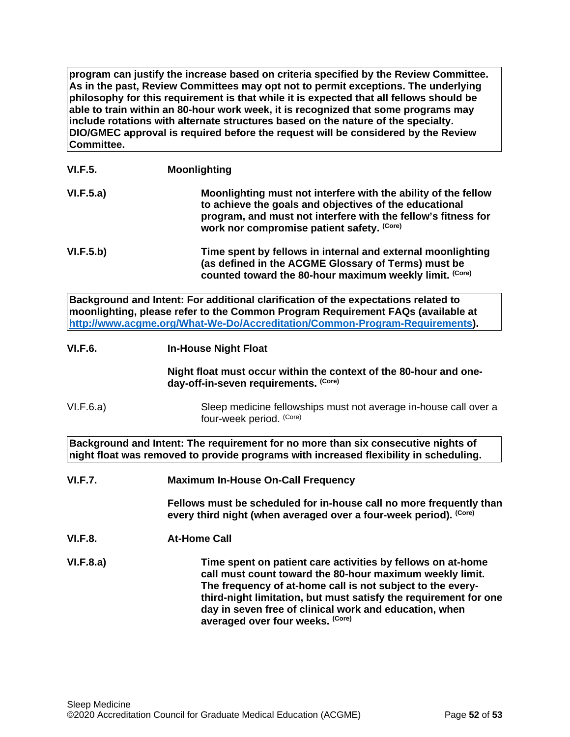**program can justify the increase based on criteria specified by the Review Committee. As in the past, Review Committees may opt not to permit exceptions. The underlying philosophy for this requirement is that while it is expected that all fellows should be able to train within an 80-hour work week, it is recognized that some programs may include rotations with alternate structures based on the nature of the specialty. DIO/GMEC approval is required before the request will be considered by the Review Committee.**

# **VI.F.5. Moonlighting**

| VI.F.5.a) | Moonlighting must not interfere with the ability of the fellow<br>to achieve the goals and objectives of the educational<br>program, and must not interfere with the fellow's fitness for<br>work nor compromise patient safety. (Core) |
|-----------|-----------------------------------------------------------------------------------------------------------------------------------------------------------------------------------------------------------------------------------------|
| VI.F.5.b) | Time spent by fellows in internal and external moonlighting<br>(as defined in the ACGME Glossary of Terms) must be                                                                                                                      |

**Background and Intent: For additional clarification of the expectations related to moonlighting, please refer to the Common Program Requirement FAQs (available at [http://www.acgme.org/What-We-Do/Accreditation/Common-Program-Requirements\)](http://www.acgme.org/What-We-Do/Accreditation/Common-Program-Requirements).**

**VI.F.6. In-House Night Float**

**Night float must occur within the context of the 80-hour and oneday-off-in-seven requirements. (Core)**

**counted toward the 80-hour maximum weekly limit. (Core)**

VI.F.6.a) Sleep medicine fellowships must not average in-house call over a four-week period. (Core)

**Background and Intent: The requirement for no more than six consecutive nights of night float was removed to provide programs with increased flexibility in scheduling.**

**VI.F.7. Maximum In-House On-Call Frequency**

**Fellows must be scheduled for in-house call no more frequently than every third night (when averaged over a four-week period). (Core)**

**VI.F.8. At-Home Call**

**VI.F.8.a) Time spent on patient care activities by fellows on at-home call must count toward the 80-hour maximum weekly limit. The frequency of at-home call is not subject to the everythird-night limitation, but must satisfy the requirement for one day in seven free of clinical work and education, when averaged over four weeks. (Core)**